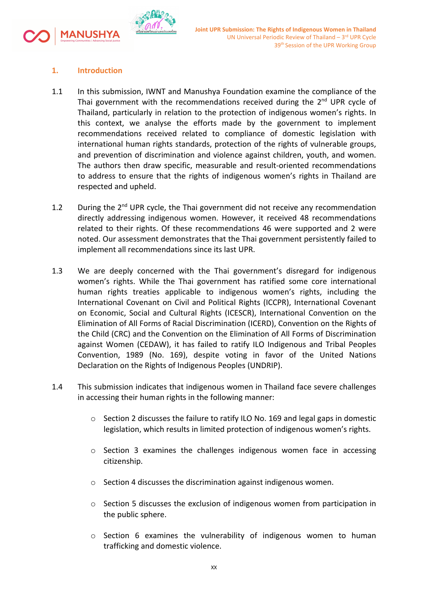

## **1. Introduction**

- 1.1 In this submission, IWNT and Manushya Foundation examine the compliance of the Thai government with the recommendations received during the 2<sup>nd</sup> UPR cycle of Thailand, particularly in relation to the protection of indigenous women'<sup>s</sup> rights. In this context, we analyse the efforts made by the government to implement recommendations received related to compliance of domestic legislation with international human rights standards, protection of the rights of vulnerable groups, and prevention of discrimination and violence against children, youth, and women. The authors then draw specific, measurable and result-oriented recommendations to address to ensure that the rights of indigenous women'<sup>s</sup> rights in Thailand are respected and upheld.
- 1.2  $\;\;\;\;$  During the 2<sup>nd</sup> UPR cycle, the Thai government did not receive any recommendation directly addressing indigenous women. However, it received 48 recommendations related to their rights. Of these recommendations 46 were supported and 2 were noted. Our assessment demonstrates that the Thai government persistently failed to implement all recommendations since its last UPR.
- 1.3 We are deeply concerned with the Thai government'<sup>s</sup> disregard for indigenous women'<sup>s</sup> rights. While the Thai government has ratified some core international human rights treaties applicable to indigenous women'<sup>s</sup> rights, including the International Covenant on Civil and Political Rights (ICCPR), International Covenant on Economic, Social and Cultural Rights (ICESCR), International Convention on the Elimination of All Forms of Racial Discrimination (ICERD), Convention on the Rights of the Child (CRC) and the Convention on the Elimination of All Forms of Discrimination against Women (CEDAW), it has failed to ratify ILO Indigenous and Tribal Peoples Convention, 1989 (No. 169), despite voting in favor of the United Nations Declaration on the Rights of Indigenous Peoples (UNDRIP).
- 1.4 This submission indicates that indigenous women in Thailand face severe challenges in accessing their human rights in the following manner:
	- $\circ$  Section 2 discusses the failure to ratify ILO No. 169 and legal gaps in domestic legislation, which results in limited protection of indigenous women'<sup>s</sup> rights.
	- <sup>o</sup> Section 3 examines the challenges indigenous women face in accessing citizenship.
	- <sup>o</sup> Section 4 discusses the discrimination against indigenous women.
	- $\circ$  Section 5 discusses the exclusion of indigenous women from participation in the public sphere.
	- $\circ$  Section 6 examines the vulnerability of indigenous women to human trafficking and domestic violence.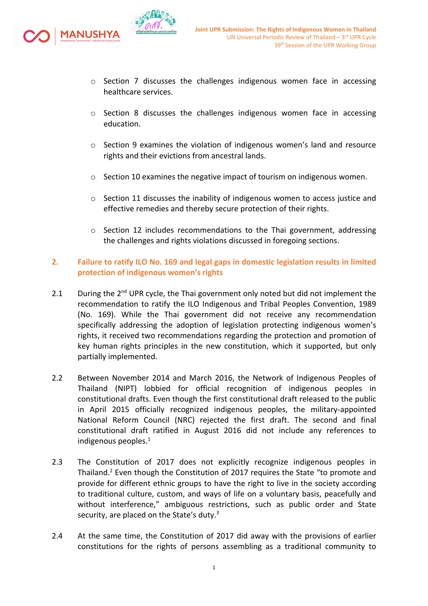

- $\circ$  Section 7 discusses the challenges indigenous women face in accessing healthcare services.
- $\circ$  Section 8 discusses the challenges indigenous women face in accessing education.
- <sup>o</sup> Section 9 examines the violation of indigenous women'<sup>s</sup> land and resource rights and their evictions from ancestral lands.
- <sup>o</sup> Section 10 examines the negative impact of tourism on indigenous women.
- $\circ$  Section 11 discusses the inability of indigenous women to access justice and effective remedies and thereby secure protection of their rights.
- $\circ$  Section 12 includes recommendations to the Thai government, addressing the challenges and rights violations discussed in foregoing sections.

## **2. Failure to ratify ILO No. 169 and legal gaps in domestic legislation results in limited protection of indigenous women'<sup>s</sup> rights**

- 2.1 During the 2<sup>nd</sup> UPR cycle, the Thai government only noted but did not implement the recommendation to ratify the ILO Indigenous and Tribal Peoples Convention, 1989 (No. 169). While the Thai government did not receive any recommendation specifically addressing the adoption of legislation protecting indigenous women'<sup>s</sup> rights, it received two recommendations regarding the protection and promotion of key human rights principles in the new constitution, which it supported, but only partially implemented.
- 2.2 Between November 2014 and March 2016, the Network of Indigenous Peoples of Thailand (NIPT) lobbied for official recognition of indigenous peoples in constitutional drafts. Even though the first constitutional draft released to the public in April 2015 officially recognized indigenous peoples, the military-appointed National Reform Council (NRC) rejected the first draft. The second and final constitutional draft ratified in August 2016 did not include any references to indigenous peoples. $^1$
- 2.3 The Constitution of 2017 does not explicitly recognize indigenous peoples in Thailand.<sup>2</sup> Even though the Constitution of 2017 requires the State "to promote and provide for different ethnic groups to have the right to live in the society according to traditional culture, custom, and ways of life on <sup>a</sup> voluntary basis, peacefully and without interference," ambiguous restrictions, such as public order and State security, are placed on the State's duty.<sup>3</sup>
- 2.4 At the same time, the Constitution of 2017 did away with the provisions of earlier constitutions for the rights of persons assembling as <sup>a</sup> traditional community to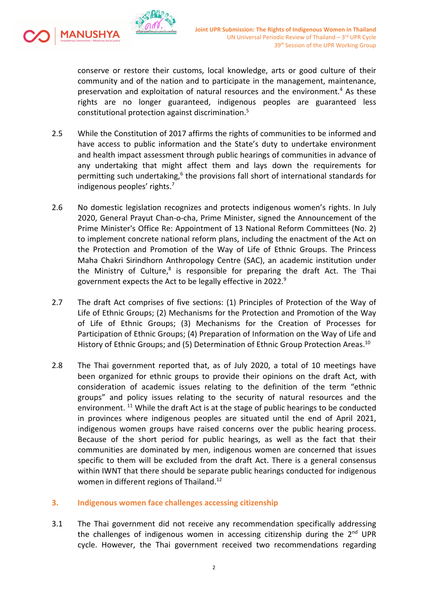

conserve or restore their customs, local knowledge, arts or good culture of their community and of the nation and to participate in the management, maintenance, preservation and exploitation of natural resources and the environment. 4 As these rights are no longer guaranteed, indigenous peoples are guaranteed less constitutional protection against discrimination. 5

- 2.5 While the Constitution of 2017 affirms the rights of communities to be informed and have access to public information and the State'<sup>s</sup> duty to undertake environment and health impact assessment through public hearings of communities in advance of any undertaking that might affect them and lays down the requirements for permitting such undertaking,<sup>6</sup> the provisions fall short of international standards for indigenous peoples' rights. 7
- 2.6 No domestic legislation recognizes and protects indigenous women'<sup>s</sup> rights. In July 2020, General Prayut Chan-o-cha, Prime Minister, signed the Announcement of the Prime Minister's Office Re: Appointment of 13 National Reform Committees (No. 2) to implement concrete national reform plans, including the enactment of the Act on the Protection and Promotion of the Way of Life of Ethnic Groups. The Princess Maha Chakri Sirindhorn Anthropology Centre (SAC), an academic institution under the Ministry of Culture,<sup>8</sup> is responsible for preparing the draft Act. The Thai government expects the Act to be legally effective in 2022. 9
- 2.7 The draft Act comprises of five sections: (1) Principles of Protection of the Way of Life of Ethnic Groups; (2) Mechanisms for the Protection and Promotion of the Way of Life of Ethnic Groups; (3) Mechanisms for the Creation of Processes for Participation of Ethnic Groups; (4) Preparation of Information on the Way of Life and History of Ethnic Groups; and (5) Determination of Ethnic Group Protection Areas. $^{\rm 10}$
- 2.8 The Thai government reported that, as of July 2020, <sup>a</sup> total of 10 meetings have been organized for ethnic groups to provide their opinions on the draft Act, with consideration of academic issues relating to the definition of the term "ethnic groups" and policy issues relating to the security of natural resources and the environment. <sup>11</sup> While the draft Act is at the stage of public hearings to be conducted in provinces where indigenous peoples are situated until the end of April 2021, indigenous women groups have raised concerns over the public hearing process. Because of the short period for public hearings, as well as the fact that their communities are dominated by men, indigenous women are concerned that issues specific to them will be excluded from the draft Act. There is <sup>a</sup> general consensus within IWNT that there should be separate public hearings conducted for indigenous women in different regions of Thailand.<sup>12</sup>

### **3. Indigenous women face challenges accessing citizenship**

3.1 The Thai government did not receive any recommendation specifically addressing the challenges of indigenous women in accessing citizenship during the 2<sup>nd</sup> UPR cycle. However, the Thai government received two recommendations regarding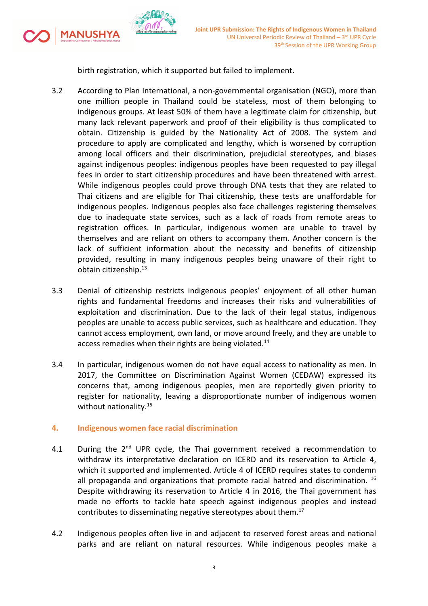

**MANUSHYA** 

birth registration, which it supported but failed to implement.

- 3.2 According to Plan International, <sup>a</sup> non-governmental organisation (NGO), more than one million people in Thailand could be stateless, most of them belonging to indigenous groups. At least 50% of them have <sup>a</sup> legitimate claim for citizenship, but many lack relevant paperwork and proof of their eligibility is thus complicated to obtain. Citizenship is guided by the Nationality Act of 2008. The system and procedure to apply are complicated and lengthy, which is worsened by corruption among local officers and their discrimination, prejudicial stereotypes, and biases against indigenous peoples: indigenous peoples have been requested to pay illegal fees in order to start citizenship procedures and have been threatened with arrest. While indigenous peoples could prove through DNA tests that they are related to Thai citizens and are eligible for Thai citizenship, these tests are unaffordable for indigenous peoples. Indigenous peoples also face challenges registering themselves due to inadequate state services, such as <sup>a</sup> lack of roads from remote areas to registration offices. In particular, indigenous women are unable to travel by themselves and are reliant on others to accompany them. Another concern is the lack of sufficient information about the necessity and benefits of citizenship provided, resulting in many indigenous peoples being unaware of their right to obtain citizenship. 13
- 3.3 Denial of citizenship restricts indigenous peoples' enjoyment of all other human rights and fundamental freedoms and increases their risks and vulnerabilities of exploitation and discrimination. Due to the lack of their legal status, indigenous peoples are unable to access public services, such as healthcare and education. They cannot access employment, own land, or move around freely, and they are unable to access remedies when their rights are being violated.<sup>14</sup>
- 3.4 In particular, indigenous women do not have equal access to nationality as men. In 2017, the Committee on Discrimination Against Women (CEDAW) expressed its concerns that, among indigenous peoples, men are reportedly given priority to register for nationality, leaving <sup>a</sup> disproportionate number of indigenous women without nationality.<sup>15</sup>

## **4. Indigenous women face racial discrimination**

- 4.1 During the 2<sup>nd</sup> UPR cycle, the Thai government received a recommendation to withdraw its interpretative declaration on ICERD and its reservation to Article 4, which it supported and implemented. Article 4 of ICERD requires states to condemn all propaganda and organizations that promote racial hatred and discrimination. <sup>16</sup> Despite withdrawing its reservation to Article 4 in 2016, the Thai government has made no efforts to tackle hate speech against indigenous peoples and instead contributes to disseminating negative stereotypes about them.<sup>17</sup>
- 4.2 Indigenous peoples often live in and adjacent to reserved forest areas and national parks and are reliant on natural resources. While indigenous peoples make <sup>a</sup>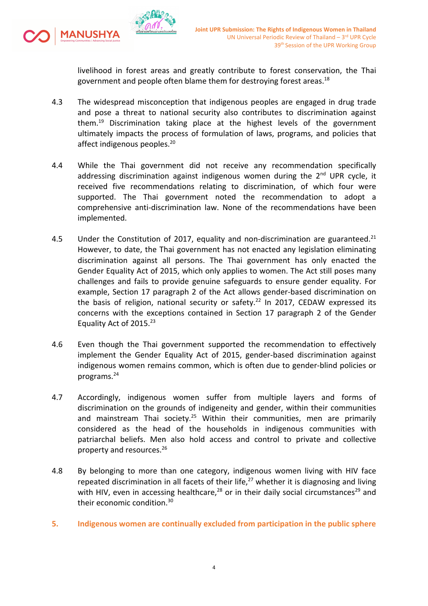livelihood in forest areas and greatly contribute to forest conservation, the Thai government and people often blame them for destroying forest areas.<sup>18</sup>

4.3 The widespread misconception that indigenous peoples are engaged in drug trade and pose <sup>a</sup> threat to national security also contributes to discrimination against them. 19 Discrimination taking place at the highest levels of the government ultimately impacts the process of formulation of laws, programs, and policies that affect indigenous peoples.<sup>20</sup>

MANUSHYA

- 4.4 While the Thai government did not receive any recommendation specifically addressing discrimination against indigenous women during the 2<sup>nd</sup> UPR cycle, it received five recommendations relating to discrimination, of which four were supported. The Thai government noted the recommendation to adopt <sup>a</sup> comprehensive anti-discrimination law. None of the recommendations have been implemented.
- 4.5 Under the Constitution of 2017, equality and non-discrimination are guaranteed.<sup>21</sup> However, to date, the Thai government has not enacted any legislation eliminating discrimination against all persons. The Thai government has only enacted the Gender Equality Act of 2015, which only applies to women. The Act still poses many challenges and fails to provide genuine safeguards to ensure gender equality. For example, Section 17 paragraph 2 of the Act allows gender-based discrimination on the basis of religion, national security or safety.<sup>22</sup> In 2017, CEDAW expressed its concerns with the exceptions contained in Section 17 paragraph 2 of the Gender Equality Act of 2015.<sup>23</sup>
- 4.6 Even though the Thai government supported the recommendation to effectively implement the Gender Equality Act of 2015, gender-based discrimination against indigenous women remains common, which is often due to gender-blind policies or programs. 24
- 4.7 Accordingly, indigenous women suffer from multiple layers and forms of discrimination on the grounds of indigeneity and gender, within their communities and mainstream Thai society.<sup>25</sup> Within their communities, men are primarily considered as the head of the households in indigenous communities with patriarchal beliefs. Men also hold access and control to private and collective property and resources. 26
- 4.8 By belonging to more than one category, indigenous women living with HIV face repeated discrimination in all facets of their life,<sup>27</sup> whether it is diagnosing and living with HIV, even in accessing healthcare,<sup>28</sup> or in their daily social circumstances<sup>29</sup> and their economic condition.<sup>30</sup>
- **5. Indigenous women are continually excluded from participation in the public sphere**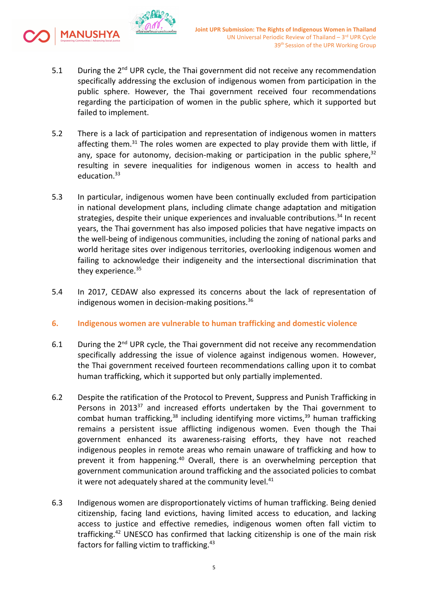

- 5.1  $\blacksquare$  During the 2<sup>nd</sup> UPR cycle, the Thai government did not receive any recommendation specifically addressing the exclusion of indigenous women from participation in the public sphere. However, the Thai government received four recommendations regarding the participation of women in the public sphere, which it supported but failed to implement.
- 5.2 There is <sup>a</sup> lack of participation and representation of indigenous women in matters affecting them.<sup>31</sup> The roles women are expected to play provide them with little, if any, space for autonomy, decision-making or participation in the public sphere,<sup>32</sup> resulting in severe inequalities for indigenous women in access to health and education.<sup>33</sup>
- 5.3 In particular, indigenous women have been continually excluded from participation in national development plans, including climate change adaptation and mitigation strategies, despite their unique experiences and invaluable contributions.<sup>34</sup> In recent years, the Thai government has also imposed policies that have negative impacts on the well-being of indigenous communities, including the zoning of national parks and world heritage sites over indigenous territories, overlooking indigenous women and failing to acknowledge their indigeneity and the intersectional discrimination that they experience.<sup>35</sup>
- 5.4 In 2017, CEDAW also expressed its concerns about the lack of representation of indigenous women in decision-making positions. 36
- **6. Indigenous women are vulnerable to human trafficking and domestic violence**
- 6.1  $\blacksquare$  During the 2<sup>nd</sup> UPR cycle, the Thai government did not receive any recommendation specifically addressing the issue of violence against indigenous women. However, the Thai government received fourteen recommendations calling upon it to combat human trafficking, which it supported but only partially implemented.
- 6.2 Despite the ratification of the Protocol to Prevent, Suppress and Punish Trafficking in Persons in 2013<sup>37</sup> and increased efforts undertaken by the Thai government to combat human trafficking,<sup>38</sup> including identifying more victims,<sup>39</sup> human trafficking remains <sup>a</sup> persistent issue afflicting indigenous women. Even though the Thai government enhanced its awareness-raising efforts, they have not reached indigenous peoples in remote areas who remain unaware of trafficking and how to prevent it from happening.<sup>40</sup> Overall, there is an overwhelming perception that government communication around trafficking and the associated policies to combat it were not adequately shared at the community level.<sup>41</sup>
- 6.3 Indigenous women are disproportionately victims of human trafficking. Being denied citizenship, facing land evictions, having limited access to education, and lacking access to justice and effective remedies, indigenous women often fall victim to trafficking.<sup>42</sup> UNESCO has confirmed that lacking citizenship is one of the main risk factors for falling victim to trafficking.<sup>43</sup>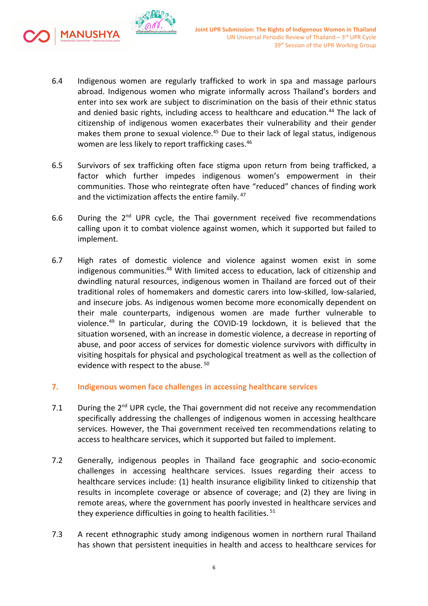

6.4 Indigenous women are regularly trafficked to work in spa and massage parlours abroad. Indigenous women who migrate informally across Thailand'<sup>s</sup> borders and enter into sex work are subject to discrimination on the basis of their ethnic status and denied basic rights, including access to healthcare and education.<sup>44</sup> The lack of citizenship of indigenous women exacerbates their vulnerability and their gender makes them prone to sexual violence.<sup>45</sup> Due to their lack of legal status, indigenous women are less likely to report trafficking cases.<sup>46</sup>

MANUSHYA

- 6.5 Survivors of sex trafficking often face stigma upon return from being trafficked, <sup>a</sup> factor which further impedes indigenous women'<sup>s</sup> empowerment in their communities. Those who reintegrate often have "reduced" chances of finding work and the victimization affects the entire family. <sup>47</sup>
- 6.6 During the 2<sup>nd</sup> UPR cycle, the Thai government received five recommendations calling upon it to combat violence against women, which it supported but failed to implement.
- 6.7 High rates of domestic violence and violence against women exist in some indigenous communities. <sup>48</sup> With limited access to education, lack of citizenship and dwindling natural resources, indigenous women in Thailand are forced out of their traditional roles of homemakers and domestic carers into low-skilled, low-salaried, and insecure jobs. As indigenous women become more economically dependent on their male counterparts, indigenous women are made further vulnerable to violence. 49 In particular, during the COVID-19 lockdown, it is believed that the situation worsened, with an increase in domestic violence, <sup>a</sup> decrease in reporting of abuse, and poor access of services for domestic violence survivors with difficulty in visiting hospitals for physical and psychological treatment as well as the collection of evidence with respect to the abuse. <sup>50</sup>

# **7. Indigenous women face challenges in accessing healthcare services**

- 7.1  $\blacksquare$  During the 2<sup>nd</sup> UPR cycle, the Thai government did not receive any recommendation specifically addressing the challenges of indigenous women in accessing healthcare services. However, the Thai government received ten recommendations relating to access to healthcare services, which it supported but failed to implement.
- 7.2 Generally, indigenous peoples in Thailand face geographic and socio-economic challenges in accessing healthcare services. Issues regarding their access to healthcare services include: (1) health insurance eligibility linked to citizenship that results in incomplete coverage or absence of coverage; and (2) they are living in remote areas, where the government has poorly invested in healthcare services and they experience difficulties in going to health facilities. <sup>51</sup>
- 7.3 A recent ethnographic study among indigenous women in northern rural Thailand has shown that persistent inequities in health and access to healthcare services for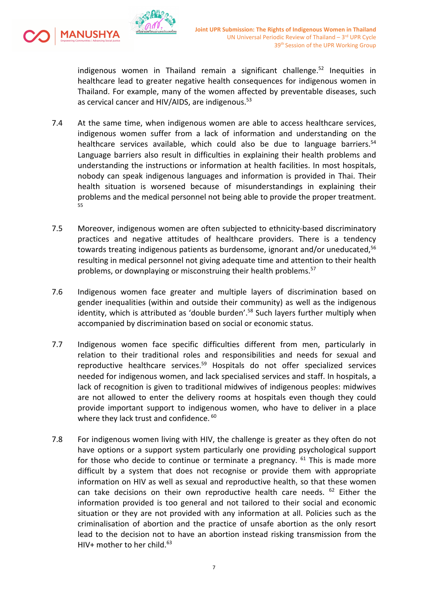

indigenous women in Thailand remain <sup>a</sup> significant challenge. 52 Inequities in healthcare lead to greater negative health consequences for indigenous women in Thailand. For example, many of the women affected by preventable diseases, such as cervical cancer and HIV/AIDS, are indigenous.<sup>53</sup>

- 7.4 At the same time, when indigenous women are able to access healthcare services, indigenous women suffer from <sup>a</sup> lack of information and understanding on the healthcare services available, which could also be due to language barriers.<sup>54</sup> Language barriers also result in difficulties in explaining their health problems and understanding the instructions or information at health facilities. In most hospitals, nobody can speak indigenous languages and information is provided in Thai. Their health situation is worsened because of misunderstandings in explaining their problems and the medical personnel not being able to provide the proper treatment. 55
- 7.5 Moreover, indigenous women are often subjected to ethnicity-based discriminatory practices and negative attitudes of healthcare providers. There is <sup>a</sup> tendency towards treating indigenous patients as burdensome, ignorant and/or uneducated,<sup>56</sup> resulting in medical personnel not giving adequate time and attention to their health problems, or downplaying or misconstruing their health problems.<sup>57</sup>
- 7.6 Indigenous women face greater and multiple layers of discrimination based on gender inequalities (within and outside their community) as well as the indigenous identity, which is attributed as 'double burden'.<sup>58</sup> Such layers further multiply when accompanied by discrimination based on social or economic status.
- 7.7 Indigenous women face specific difficulties different from men, particularly in relation to their traditional roles and responsibilities and needs for sexual and reproductive healthcare services.<sup>59</sup> Hospitals do not offer specialized services needed for indigenous women, and lack specialised services and staff. In hospitals, <sup>a</sup> lack of recognition is given to traditional midwives of indigenous peoples: midwives are not allowed to enter the delivery rooms at hospitals even though they could provide important support to indigenous women, who have to deliver in <sup>a</sup> place where they lack trust and confidence. <sup>60</sup>
- 7.8 For indigenous women living with HIV, the challenge is greater as they often do not have options or <sup>a</sup> support system particularly one providing psychological support for those who decide to continue or terminate a pregnancy. <sup>61</sup> This is made more difficult by <sup>a</sup> system that does not recognise or provide them with appropriate information on HIV as well as sexual and reproductive health, so that these women can take decisions on their own reproductive health care needs. <sup>62</sup> Either the information provided is too general and not tailored to their social and economic situation or they are not provided with any information at all. Policies such as the criminalisation of abortion and the practice of unsafe abortion as the only resort lead to the decision not to have an abortion instead risking transmission from the HIV+ mother to her child.<sup>63</sup>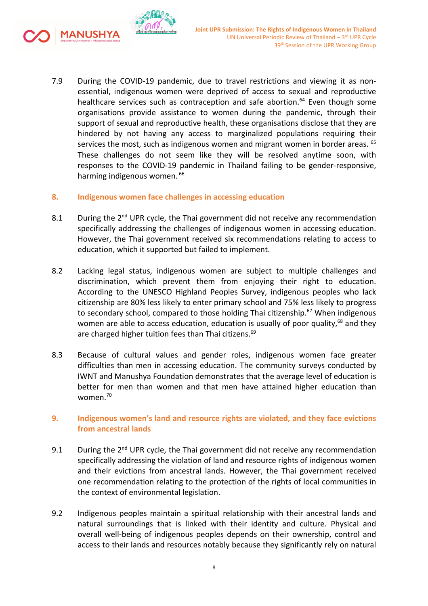

- 7.9 During the COVID-19 pandemic, due to travel restrictions and viewing it as nonessential, indigenous women were deprived of access to sexual and reproductive healthcare services such as contraception and safe abortion. 64 Even though some organisations provide assistance to women during the pandemic, through their support of sexual and reproductive health, these organisations disclose that they are hindered by not having any access to marginalized populations requiring their services the most, such as indigenous women and migrant women in border areas. <sup>65</sup> These challenges do not seem like they will be resolved anytime soon, with responses to the COVID-19 pandemic in Thailand failing to be gender-responsive, harming indigenous women. <sup>66</sup>
- **8. Indigenous women face challenges in accessing education**
- 8.1 During the 2<sup>nd</sup> UPR cycle, the Thai government did not receive any recommendation specifically addressing the challenges of indigenous women in accessing education. However, the Thai government received six recommendations relating to access to education, which it supported but failed to implement.
- 8.2 Lacking legal status, indigenous women are subject to multiple challenges and discrimination, which prevent them from enjoying their right to education. According to the UNESCO Highland Peoples Survey, indigenous peoples who lack citizenship are 80% less likely to enter primary school and 75% less likely to progress to secondary school, compared to those holding Thai citizenship. <sup>67</sup> When indigenous women are able to access education, education is usually of poor quality,<sup>68</sup> and they are charged higher tuition fees than Thai citizens.<sup>69</sup>
- 8.3 Because of cultural values and gender roles, indigenous women face greater difficulties than men in accessing education. The community surveys conducted by IWNT and Manushya Foundation demonstrates that the average level of education is better for men than women and that men have attained higher education than women. 70

## **9. Indigenous women'<sup>s</sup> land and resource rights are violated, and they face evictions from ancestral lands**

- 9.1  $\;\;\;\;$  During the 2<sup>nd</sup> UPR cycle, the Thai government did not receive any recommendation specifically addressing the violation of land and resource rights of indigenous women and their evictions from ancestral lands. However, the Thai government received one recommendation relating to the protection of the rights of local communities in the context of environmental legislation.
- 9.2 Indigenous peoples maintain <sup>a</sup> spiritual relationship with their ancestral lands and natural surroundings that is linked with their identity and culture. Physical and overall well-being of indigenous peoples depends on their ownership, control and access to their lands and resources notably because they significantly rely on natural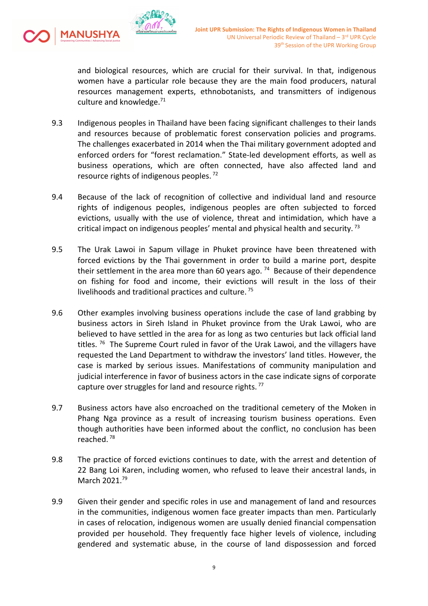

and biological resources, which are crucial for their survival. In that, indigenous women have <sup>a</sup> particular role because they are the main food producers, natural resources management experts, ethnobotanists, and transmitters of indigenous culture and knowledge.<sup>71</sup>

- 9.3 Indigenous peoples in Thailand have been facing significant challenges to their lands and resources because of problematic forest conservation policies and programs. The challenges exacerbated in 2014 when the Thai military government adopted and enforced orders for "forest reclamation." State-led development efforts, as well as business operations, which are often connected, have also affected land and resource rights of indigenous peoples.<sup>72</sup>
- 9.4 Because of the lack of recognition of collective and individual land and resource rights of indigenous peoples, indigenous peoples are often subjected to forced evictions, usually with the use of violence, threat and intimidation, which have <sup>a</sup> critical impact on indigenous peoples' mental and physical health and security.<sup>73</sup>
- 9.5 The Urak Lawoi in Sapum village in Phuket province have been threatened with forced evictions by the Thai government in order to build <sup>a</sup> marine port, despite their settlement in the area more than 60 years ago. <sup>74</sup> Because of their dependence on fishing for food and income, their evictions will result in the loss of their livelihoods and traditional practices and culture. <sup>75</sup>
- 9.6 Other examples involving business operations include the case of land grabbing by business actors in Sireh Island in Phuket province from the Urak Lawoi, who are believed to have settled in the area for as long as two centuries but lack official land titles. <sup>76</sup> The Supreme Court ruled in favor of the Urak Lawoi, and the villagers have requested the Land Department to withdraw the investors' land titles. However, the case is marked by serious issues. Manifestations of community manipulation and judicial interference in favor of business actors in the case indicate signs of corporate capture over struggles for land and resource rights.<sup>77</sup>
- 9.7 Business actors have also encroached on the traditional cemetery of the Moken in Phang Nga province as <sup>a</sup> result of increasing tourism business operations. Even though authorities have been informed about the conflict, no conclusion has been reached. <sup>78</sup>
- 9.8 The practice of forced evictions continues to date, with the arrest and detention of 22 Bang Loi Karen, including women, who refused to leave their ancestral lands, in March 2021.<sup>79</sup>
- 9.9 Given their gender and specific roles in use and management of land and resources in the communities, indigenous women face greater impacts than men. Particularly in cases of relocation, indigenous women are usually denied financial compensation provided per household. They frequently face higher levels of violence, including gendered and systematic abuse, in the course of land dispossession and forced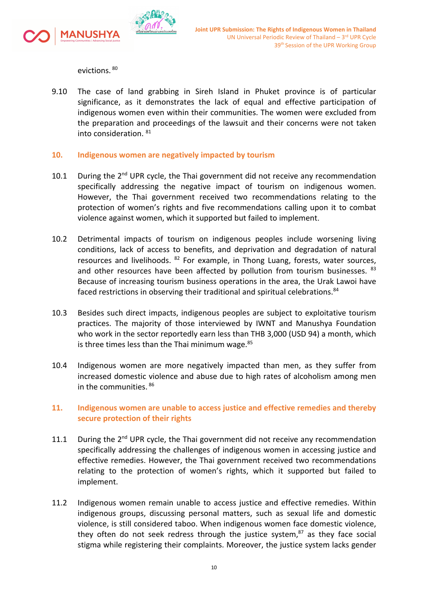

evictions. <sup>80</sup>

9.10 The case of land grabbing in Sireh Island in Phuket province is of particular significance, as it demonstrates the lack of equal and effective participation of indigenous women even within their communities. The women were excluded from the preparation and proceedings of the lawsuit and their concerns were not taken into consideration.  $^{81}$ 

### **10. Indigenous women are negatively impacted by tourism**

- 10.1 During the 2<sup>nd</sup> UPR cycle, the Thai government did not receive any recommendation specifically addressing the negative impact of tourism on indigenous women. However, the Thai government received two recommendations relating to the protection of women'<sup>s</sup> rights and five recommendations calling upon it to combat violence against women, which it supported but failed to implement.
- 10.2 Detrimental impacts of tourism on indigenous peoples include worsening living conditions, lack of access to benefits, and deprivation and degradation of natural resources and livelihoods. <sup>82</sup> For example, in Thong Luang, forests, water sources, and other resources have been affected by pollution from tourism businesses. <sup>83</sup> Because of increasing tourism business operations in the area, the Urak Lawoi have faced restrictions in observing their traditional and spiritual celebrations.<sup>84</sup>
- 10.3 Besides such direct impacts, indigenous peoples are subject to exploitative tourism practices. The majority of those interviewed by IWNT and Manushya Foundation who work in the sector reportedly earn less than THB 3,000 (USD 94) <sup>a</sup> month, which is three times less than the Thai minimum wage. 85
- 10.4 Indigenous women are more negatively impacted than men, as they suffer from increased domestic violence and abuse due to high rates of alcoholism among men in the communities. 86

## **11. Indigenous women are unable to access justice and effective remedies and thereby secure protection of their rights**

- 11.1 During the 2<sup>nd</sup> UPR cycle, the Thai government did not receive any recommendation specifically addressing the challenges of indigenous women in accessing justice and effective remedies. However, the Thai government received two recommendations relating to the protection of women'<sup>s</sup> rights, which it supported but failed to implement.
- 11.2 Indigenous women remain unable to access justice and effective remedies. Within indigenous groups, discussing personal matters, such as sexual life and domestic violence, is still considered taboo. When indigenous women face domestic violence, they often do not seek redress through the justice system,<sup>87</sup> as they face social stigma while registering their complaints. Moreover, the justice system lacks gender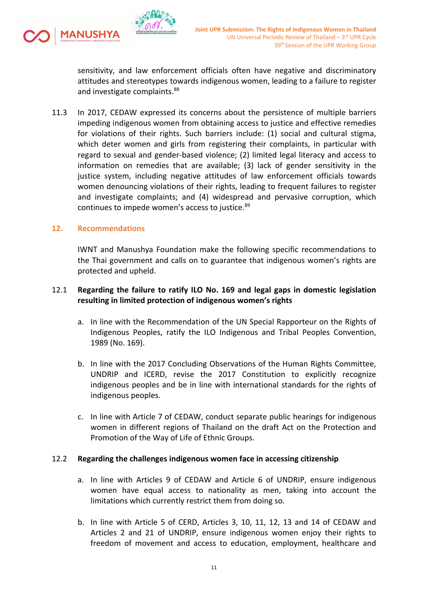

sensitivity, and law enforcement officials often have negative and discriminatory attitudes and stereotypes towards indigenous women, leading to <sup>a</sup> failure to register and investigate complaints.<sup>88</sup>

11.3 In 2017, CEDAW expressed its concerns about the persistence of multiple barriers impeding indigenous women from obtaining access to justice and effective remedies for violations of their rights. Such barriers include: (1) social and cultural stigma, which deter women and girls from registering their complaints, in particular with regard to sexual and gender-based violence; (2) limited legal literacy and access to information on remedies that are available; (3) lack of gender sensitivity in the justice system, including negative attitudes of law enforcement officials towards women denouncing violations of their rights, leading to frequent failures to register and investigate complaints; and (4) widespread and pervasive corruption, which continues to impede women'<sup>s</sup> access to justice. 89

## **12. Recommendations**

IWNT and Manushya Foundation make the following specific recommendations to the Thai government and calls on to guarantee that indigenous women'<sup>s</sup> rights are protected and upheld.

## 12.1 **Regarding the failure to ratify ILO No. 169 and legal gaps in domestic legislation resulting in limited protection of indigenous women'<sup>s</sup> rights**

- a. In line with the Recommendation of the UN Special Rapporteur on the Rights of Indigenous Peoples, ratify the ILO Indigenous and Tribal Peoples Convention, 1989 (No. 169).
- b. In line with the 2017 Concluding Observations of the Human Rights Committee, UNDRIP and ICERD, revise the 2017 Constitution to explicitly recognize indigenous peoples and be in line with international standards for the rights of indigenous peoples.
- c. In line with Article 7 of CEDAW, conduct separate public hearings for indigenous women in different regions of Thailand on the draft Act on the Protection and Promotion of the Way of Life of Ethnic Groups.

## 12.2 **Regarding the challenges indigenous women face in accessing citizenship**

- a. In line with Articles 9 of CEDAW and Article 6 of UNDRIP, ensure indigenous women have equal access to nationality as men, taking into account the limitations which currently restrict them from doing so.
- b. In line with Article 5 of CERD, Articles 3, 10, 11, 12, 13 and 14 of CEDAW and Articles 2 and 21 of UNDRIP, ensure indigenous women enjoy their rights to freedom of movement and access to education, employment, healthcare and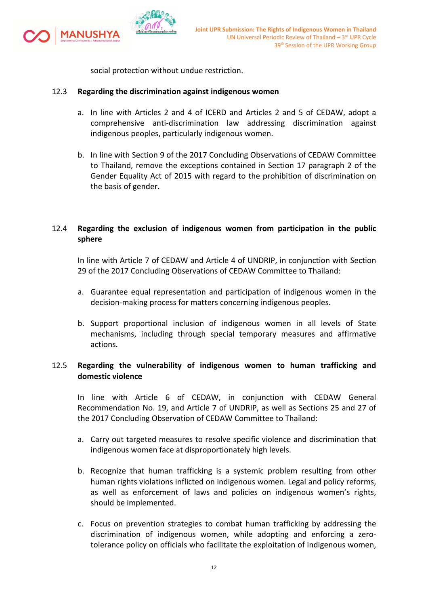

social protection without undue restriction.

### 12.3 **Regarding the discrimination against indigenous women**

- a. In line with Articles 2 and 4 of ICERD and Articles 2 and 5 of CEDAW, adopt <sup>a</sup> comprehensive anti-discrimination law addressing discrimination against indigenous peoples, particularly indigenous women.
- b. In line with Section 9 of the 2017 Concluding Observations of CEDAW Committee to Thailand, remove the exceptions contained in Section 17 paragraph 2 of the Gender Equality Act of 2015 with regard to the prohibition of discrimination on the basis of gender.

## 12.4 **Regarding the exclusion of indigenous women from participation in the public sphere**

In line with Article 7 of CEDAW and Article 4 of UNDRIP, in conjunction with Section 29 of the 2017 Concluding Observations of CEDAW Committee to Thailand:

- a. Guarantee equal representation and participation of indigenous women in the decision-making process for matters concerning indigenous peoples.
- b. Support proportional inclusion of indigenous women in all levels of State mechanisms, including through special temporary measures and affirmative actions.

## 12.5 **Regarding the vulnerability of indigenous women to human trafficking and domestic violence**

In line with Article 6 of CEDAW, in conjunction with CEDAW General Recommendation No. 19, and Article 7 of UNDRIP, as well as Sections 25 and 27 of the 2017 Concluding Observation of CEDAW Committee to Thailand:

- a. Carry out targeted measures to resolve specific violence and discrimination that indigenous women face at disproportionately high levels.
- b. Recognize that human trafficking is <sup>a</sup> systemic problem resulting from other human rights violations inflicted on indigenous women. Legal and policy reforms, as well as enforcement of laws and policies on indigenous women'<sup>s</sup> rights, should be implemented.
- c. Focus on prevention strategies to combat human trafficking by addressing the discrimination of indigenous women, while adopting and enforcing <sup>a</sup> zerotolerance policy on officials who facilitate the exploitation of indigenous women,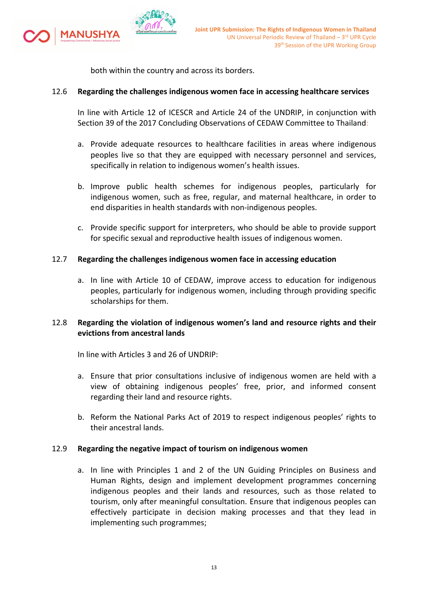

both within the country and across its borders.

### 12.6 **Regarding the challenges indigenous women face in accessing healthcare services**

In line with Article 12 of ICESCR and Article 24 of the UNDRIP, in conjunction with Section 39 of the 2017 Concluding Observations of CEDAW Committee to Thailand:

- a. Provide adequate resources to healthcare facilities in areas where indigenous peoples live so that they are equipped with necessary personnel and services, specifically in relation to indigenous women'<sup>s</sup> health issues.
- b. Improve public health schemes for indigenous peoples, particularly for indigenous women, such as free, regular, and maternal healthcare, in order to end disparities in health standards with non-indigenous peoples.
- c. Provide specific support for interpreters, who should be able to provide support for specific sexual and reproductive health issues of indigenous women.

### 12.7 **Regarding the challenges indigenous women face in accessing education**

a. In line with Article 10 of CEDAW, improve access to education for indigenous peoples, particularly for indigenous women, including through providing specific scholarships for them.

## 12.8 **Regarding the violation of indigenous women'<sup>s</sup> land and resource rights and their evictions from ancestral lands**

In line with Articles 3 and 26 of UNDRIP:

- a. Ensure that prior consultations inclusive of indigenous women are held with <sup>a</sup> view of obtaining indigenous peoples' free, prior, and informed consent regarding their land and resource rights.
- b. Reform the National Parks Act of 2019 to respect indigenous peoples' rights to their ancestral lands.

#### 12.9 **Regarding the negative impact of tourism on indigenous women**

a. In line with Principles 1 and 2 of the UN Guiding Principles on Business and Human Rights, design and implement development programmes concerning indigenous peoples and their lands and resources, such as those related to tourism, only after meaningful consultation. Ensure that indigenous peoples can effectively participate in decision making processes and that they lead in implementing such programmes;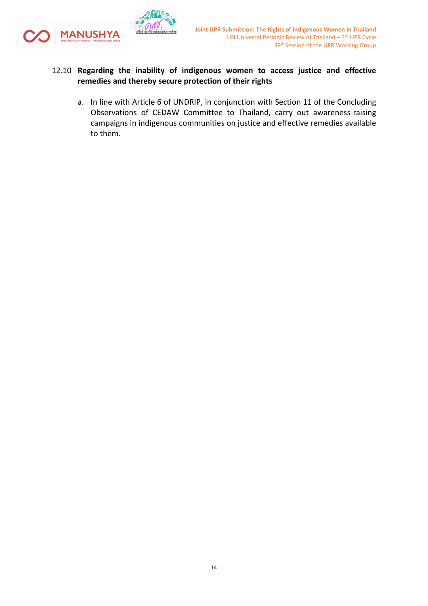

## 12.10 **Regarding the inability of indigenous women to access justice and effective remedies and thereby secure protection of their rights**

a. In line with Article 6 of UNDRIP, in conjunction with Section 11 of the Concluding Observations of CEDAW Committee to Thailand, carry out awareness-raising campaigns in indigenous communities on justice and effective remedies available to them.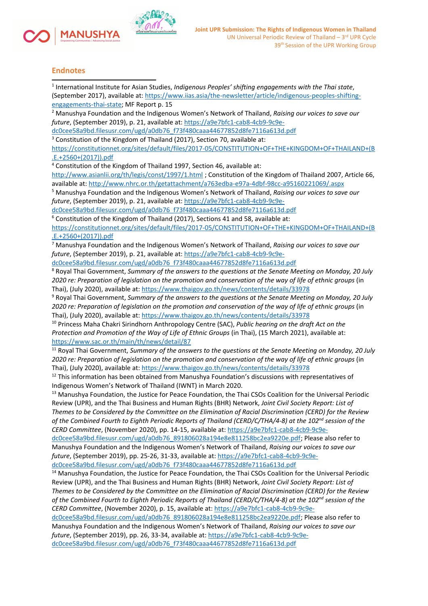

#### **Endnotes**

| <sup>1</sup> International Institute for Asian Studies, Indigenous Peoples' shifting engagements with the Thai state,   |
|-------------------------------------------------------------------------------------------------------------------------|
| (September 2017), available at: https://www.iias.asia/the-newsletter/article/indigenous-peoples-shifting-               |
| engagements-thai-state; MF Report p. 15                                                                                 |
| <sup>2</sup> Manushya Foundation and the Indigenous Women's Network of Thailand, Raising our voices to save our         |
| future, (September 2019), p. 21, available at: https://a9e7bfc1-cab8-4cb9-9c9e-                                         |
| dc0cee58a9bd.filesusr.com/ugd/a0db76_f73f480caaa44677852d8fe7116a613d.pdf                                               |
| <sup>3</sup> Constitution of the Kingdom of Thailand (2017), Section 70, available at:                                  |
| https://constitutionnet.org/sites/default/files/2017-05/CONSTITUTION+OF+THE+KINGDOM+OF+THAILAND+(B                      |
| $.E.+2560+(2017)).pdf$                                                                                                  |
| <sup>4</sup> Constitution of the Kingdom of Thailand 1997, Section 46, available at:                                    |
| http://www.asianlii.org/th/legis/const/1997/1.html; Constitution of the Kingdom of Thailand 2007, Article 66,           |
| available at: http://www.nhrc.or.th/getattachment/a763edba-e97a-4dbf-98cc-a95160221069/.aspx                            |
| <sup>5</sup> Manushya Foundation and the Indigenous Women's Network of Thailand, Raising our voices to save our         |
| future, (September 2019), p. 21, available at: https://a9e7bfc1-cab8-4cb9-9c9e-                                         |
| dc0cee58a9bd.filesusr.com/ugd/a0db76_f73f480caaa44677852d8fe7116a613d.pdf                                               |
| $6$ Constitution of the Kingdom of Thailand (2017), Sections 41 and 58, available at:                                   |
| https://constitutionnet.org/sites/default/files/2017-05/CONSTITUTION+OF+THE+KINGDOM+OF+THAILAND+(B                      |
| $.E.+2560+(2017)).pdf$                                                                                                  |
| Manushya Foundation and the Indigenous Women's Network of Thailand, Raising our voices to save our                      |
| future, (September 2019), p. 21, available at: https://a9e7bfc1-cab8-4cb9-9c9e-                                         |
| dc0cee58a9bd.filesusr.com/ugd/a0db76_f73f480caaa44677852d8fe7116a613d.pdf                                               |
| <sup>8</sup> Royal Thai Government, Summary of the answers to the questions at the Senate Meeting on Monday, 20 July    |
| 2020 re: Preparation of legislation on the promotion and conservation of the way of life of ethnic groups (in           |
| Thai), (July 2020), available at: https://www.thaigov.go.th/news/contents/details/33978                                 |
| <sup>9</sup> Royal Thai Government, Summary of the answers to the questions at the Senate Meeting on Monday, 20 July    |
| 2020 re: Preparation of legislation on the promotion and conservation of the way of life of ethnic groups (in           |
| Thai), (July 2020), available at: https://www.thaigov.go.th/news/contents/details/33978                                 |
| <sup>10</sup> Princess Maha Chakri Sirindhorn Anthropology Centre (SAC), Public hearing on the draft Act on the         |
|                                                                                                                         |
| Protection and Promotion of the Way of Life of Ethnic Groups (in Thai), (15 March 2021), available at:                  |
| https://www.sac.or.th/main/th/news/detail/87                                                                            |
| <sup>11</sup> Royal Thai Government, Summary of the answers to the questions at the Senate Meeting on Monday, 20 July   |
| 2020 re: Preparation of legislation on the promotion and conservation of the way of life of ethnic groups (in           |
| Thai), (July 2020), available at: https://www.thaigov.go.th/news/contents/details/33978                                 |
| <sup>12</sup> This information has been obtained from Manushya Foundation's discussions with representatives of         |
| Indigenous Women's Network of Thailand (IWNT) in March 2020.                                                            |
| <sup>13</sup> Manushya Foundation, the Justice for Peace Foundation, the Thai CSOs Coalition for the Universal Periodic |
| Review (UPR), and the Thai Business and Human Rights (BHR) Network, Joint Civil Society Report: List of                 |
| Themes to be Considered by the Committee on the Elimination of Racial Discrimination (CERD) for the Review              |
| of the Combined Fourth to Eighth Periodic Reports of Thailand (CERD/C/THA/4-8) at the 102 <sup>nd</sup> session of the  |
| CERD Committee, (November 2020), pp. 14-15, available at: https://a9e7bfc1-cab8-4cb9-9c9e-                              |
| dc0cee58a9bd.filesusr.com/ugd/a0db76_891806028a194e8e811258bc2ea9220e.pdf; Please also refer to                         |
| Manushya Foundation and the Indigenous Women's Network of Thailand, Raising our voices to save our                      |
| future, (September 2019), pp. 25-26, 31-33, available at: https://a9e7bfc1-cab8-4cb9-9c9e-                              |
| dc0cee58a9bd.filesusr.com/ugd/a0db76_f73f480caaa44677852d8fe7116a613d.pdf                                               |
| <sup>14</sup> Manushya Foundation, the Justice for Peace Foundation, the Thai CSOs Coalition for the Universal Periodic |
| Review (UPR), and the Thai Business and Human Rights (BHR) Network, Joint Civil Society Report: List of                 |
| Themes to be Considered by the Committee on the Elimination of Racial Discrimination (CERD) for the Review              |
| of the Combined Fourth to Eighth Periodic Reports of Thailand (CERD/C/THA/4-8) at the 102 <sup>nd</sup> session of the  |
| CERD Committee, (November 2020), p. 15, available at: https://a9e7bfc1-cab8-4cb9-9c9e-                                  |
| dc0cee58a9bd.filesusr.com/ugd/a0db76_891806028a194e8e811258bc2ea9220e.pdf; Please also refer to                         |
| Manushya Foundation and the Indigenous Women's Network of Thailand, Raising our voices to save our                      |
| future, (September 2019), pp. 26, 33-34, available at: https://a9e7bfc1-cab8-4cb9-9c9e-                                 |
| dc0cee58a9bd.filesusr.com/ugd/a0db76_f73f480caaa44677852d8fe7116a613d.pdf                                               |
|                                                                                                                         |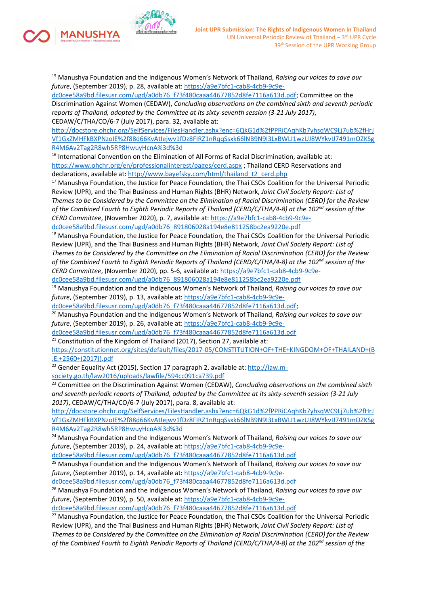

**IANUSHYA** 

<sup>15</sup> Manushya Foundation and the Indigenous Women'<sup>s</sup> Network of Thailand, *Raising our voices to save our future*, (September 2019), p. 28, available at: [https://a9e7bfc1-cab8-4cb9-9c9e-](https://a9e7bfc1-cab8-4cb9-9c9e-dc0cee58a9bd.filesusr.com/ugd/a0db76_f73f480caaa44677852d8fe7116a613d.pdf)

[dc0cee58a9bd.filesusr.com/ugd/a0db76\\_f73f480caaa44677852d8fe7116a613d.pdf](https://a9e7bfc1-cab8-4cb9-9c9e-dc0cee58a9bd.filesusr.com/ugd/a0db76_f73f480caaa44677852d8fe7116a613d.pdf); Committee on the Discrimination Against Women (CEDAW), *Concluding observations on the combined sixth and seventh periodic reports of Thailand, adopted by the Committee at its sixty-seventh session (3-21 July 2017)*, CEDAW/C/THA/CO/6-7 (July 2017), para. 32, available at:

[http://docstore.ohchr.org/SelfServices/FilesHandler.ashx?enc=6QkG1d%2fPPRiCAqhKb7yhsqWC9Lj7ub%2fHrJ](http://docstore.ohchr.org/SelfServices/FilesHandler.ashx?enc=6QkG1d%2fPPRiCAqhKb7yhsqWC9Lj7ub%2fHrJVf1GxZMHFkBXPNzoIE%2f88d66KvAtIejwv1fDz8FIRZ1nRqqSsxk66lNB9N9I3LxBWLI1wzUJ8WYkvIJ7491mOZKSgR4M6Av2Tag2R8wh5RP8HwuyHcnA%3d%3d) [Vf1GxZMHFkBXPNzoIE%2f88d66KvAtIejwv1fDz8FIRZ1nRqqSsxk66lNB9N9I3LxBWLI1wzUJ8WYkvIJ7491mOZKSg](http://docstore.ohchr.org/SelfServices/FilesHandler.ashx?enc=6QkG1d%2fPPRiCAqhKb7yhsqWC9Lj7ub%2fHrJVf1GxZMHFkBXPNzoIE%2f88d66KvAtIejwv1fDz8FIRZ1nRqqSsxk66lNB9N9I3LxBWLI1wzUJ8WYkvIJ7491mOZKSgR4M6Av2Tag2R8wh5RP8HwuyHcnA%3d%3d) [R4M6Av2Tag2R8wh5RP8HwuyHcnA%3d%3d](http://docstore.ohchr.org/SelfServices/FilesHandler.ashx?enc=6QkG1d%2fPPRiCAqhKb7yhsqWC9Lj7ub%2fHrJVf1GxZMHFkBXPNzoIE%2f88d66KvAtIejwv1fDz8FIRZ1nRqqSsxk66lNB9N9I3LxBWLI1wzUJ8WYkvIJ7491mOZKSgR4M6Av2Tag2R8wh5RP8HwuyHcnA%3d%3d)

<sup>16</sup> International Convention on the Elimination of All Forms of Racial Discrimination, available at: <https://www.ohchr.org/en/professionalinterest/pages/cerd.aspx> ; Thailand CERD Reservations and declarations, available at: [http://www.bayefsky.com/html/thailand\\_t2\\_cerd.php](http://www.bayefsky.com/html/thailand_t2_cerd.php)

<sup>17</sup> Manushya Foundation, the Justice for Peace Foundation, the Thai CSOs Coalition for the Universal Periodic Review (UPR), and the Thai Business and Human Rights (BHR) Network, *Joint Civil Society Report: List of* Themes to be Considered by the Committee on the Elimination of Racial Discrimination (CERD) for the Review of the Combined Fourth to Eighth Periodic Reports of Thailand (CERD/C/THA/4-8) at the 102<sup>nd</sup> session of the *CERD Committee*, (November 2020), p. 7, available at: [https://a9e7bfc1-cab8-4cb9-9c9e](https://a9e7bfc1-cab8-4cb9-9c9e-dc0cee58a9bd.filesusr.com/ugd/a0db76_891806028a194e8e811258bc2ea9220e.pdf)[dc0cee58a9bd.filesusr.com/ugd/a0db76\\_891806028a194e8e811258bc2ea9220e.pdf](https://a9e7bfc1-cab8-4cb9-9c9e-dc0cee58a9bd.filesusr.com/ugd/a0db76_891806028a194e8e811258bc2ea9220e.pdf)

<sup>18</sup> Manushya Foundation, the Justice for Peace Foundation, the Thai CSOs Coalition for the Universal Periodic Review (UPR), and the Thai Business and Human Rights (BHR) Network, *Joint Civil Society Report: List of* Themes to be Considered by the Committee on the Elimination of Racial Discrimination (CERD) for the Review of the Combined Fourth to Eighth Periodic Reports of Thailand (CERD/C/THA/4-8) at the 102<sup>nd</sup> session of the *CERD Committee*, (November 2020), pp. 5-6, available at: [https://a9e7bfc1-cab8-4cb9-9c9e-](https://a9e7bfc1-cab8-4cb9-9c9e-dc0cee58a9bd.filesusr.com/ugd/a0db76_891806028a194e8e811258bc2ea9220e.pdf)

[dc0cee58a9bd.filesusr.com/ugd/a0db76\\_891806028a194e8e811258bc2ea9220e.pdf](https://a9e7bfc1-cab8-4cb9-9c9e-dc0cee58a9bd.filesusr.com/ugd/a0db76_891806028a194e8e811258bc2ea9220e.pdf)

<sup>19</sup> Manushya Foundation and the Indigenous Women'<sup>s</sup> Network of Thailand, *Raising our voices to save our future*, (September 2019), p. 13, available at: [https://a9e7bfc1-cab8-4cb9-9c9e-](https://a9e7bfc1-cab8-4cb9-9c9e-dc0cee58a9bd.filesusr.com/ugd/a0db76_f73f480caaa44677852d8fe7116a613d.pdf)

[dc0cee58a9bd.filesusr.com/ugd/a0db76\\_f73f480caaa44677852d8fe7116a613d.pdf](https://a9e7bfc1-cab8-4cb9-9c9e-dc0cee58a9bd.filesusr.com/ugd/a0db76_f73f480caaa44677852d8fe7116a613d.pdf);

<sup>20</sup> Manushya Foundation and the Indigenous Women'<sup>s</sup> Network of Thailand, *Raising our voices to save our future*, (September 2019), p. 26, available at: [https://a9e7bfc1-cab8-4cb9-9c9e-](https://a9e7bfc1-cab8-4cb9-9c9e-dc0cee58a9bd.filesusr.com/ugd/a0db76_f73f480caaa44677852d8fe7116a613d.pdf)

[dc0cee58a9bd.filesusr.com/ugd/a0db76\\_f73f480caaa44677852d8fe7116a613d.pdf](https://a9e7bfc1-cab8-4cb9-9c9e-dc0cee58a9bd.filesusr.com/ugd/a0db76_f73f480caaa44677852d8fe7116a613d.pdf)

<sup>21</sup> Constitution of the Kingdom of Thailand (2017), Section 27, available at:

[https://constitutionnet.org/sites/default/files/2017-05/CONSTITUTION+OF+THE+KINGDOM+OF+THAILAND+\(B](https://constitutionnet.org/sites/default/files/2017-05/CONSTITUTION+OF+THE+KINGDOM+OF+THAILAND+(B.E.+2560+(2017)).pdf) [.E.+2560+\(2017\)\).pdf](https://constitutionnet.org/sites/default/files/2017-05/CONSTITUTION+OF+THE+KINGDOM+OF+THAILAND+(B.E.+2560+(2017)).pdf)

<sup>22</sup> Gender Equality Act (2015), Section 17 paragraph 2, available at: [http://law.m](http://law.m-society.go.th/law2016/uploads/lawfile/594cc091ca739.pdf)[society.go.th/law2016/uploads/lawfile/594cc091ca739.pdf](http://law.m-society.go.th/law2016/uploads/lawfile/594cc091ca739.pdf)

23 Committee on the Discrimination Against Women (CEDAW), *Concluding observations on the combined sixth and seventh periodic reports of Thailand, adopted by the Committee at its sixty-seventh session (3-21 July 2017)*, CEDAW/C/THA/CO/6-7 (July 2017), para. 8, available at:

[http://docstore.ohchr.org/SelfServices/FilesHandler.ashx?enc=6QkG1d%2fPPRiCAqhKb7yhsqWC9Lj7ub%2fHrJ](http://docstore.ohchr.org/SelfServices/FilesHandler.ashx?enc=6QkG1d%2fPPRiCAqhKb7yhsqWC9Lj7ub%2fHrJVf1GxZMHFkBXPNzoIE%2f88d66KvAtIejwv1fDz8FIRZ1nRqqSsxk66lNB9N9I3LxBWLI1wzUJ8WYkvIJ7491mOZKSgR4M6Av2Tag2R8wh5RP8HwuyHcnA%3d%3d) [Vf1GxZMHFkBXPNzoIE%2f88d66KvAtIejwv1fDz8FIRZ1nRqqSsxk66lNB9N9I3LxBWLI1wzUJ8WYkvIJ7491mOZKSg](http://docstore.ohchr.org/SelfServices/FilesHandler.ashx?enc=6QkG1d%2fPPRiCAqhKb7yhsqWC9Lj7ub%2fHrJVf1GxZMHFkBXPNzoIE%2f88d66KvAtIejwv1fDz8FIRZ1nRqqSsxk66lNB9N9I3LxBWLI1wzUJ8WYkvIJ7491mOZKSgR4M6Av2Tag2R8wh5RP8HwuyHcnA%3d%3d) [R4M6Av2Tag2R8wh5RP8HwuyHcnA%3d%3d](http://docstore.ohchr.org/SelfServices/FilesHandler.ashx?enc=6QkG1d%2fPPRiCAqhKb7yhsqWC9Lj7ub%2fHrJVf1GxZMHFkBXPNzoIE%2f88d66KvAtIejwv1fDz8FIRZ1nRqqSsxk66lNB9N9I3LxBWLI1wzUJ8WYkvIJ7491mOZKSgR4M6Av2Tag2R8wh5RP8HwuyHcnA%3d%3d)

<sup>24</sup> Manushya Foundation and the Indigenous Women'<sup>s</sup> Network of Thailand, *Raising our voices to save our future*, (September 2019), p. 24, available at: [https://a9e7bfc1-cab8-4cb9-9c9e-](https://a9e7bfc1-cab8-4cb9-9c9e-dc0cee58a9bd.filesusr.com/ugd/a0db76_f73f480caaa44677852d8fe7116a613d.pdf)

[dc0cee58a9bd.filesusr.com/ugd/a0db76\\_f73f480caaa44677852d8fe7116a613d.pdf](https://a9e7bfc1-cab8-4cb9-9c9e-dc0cee58a9bd.filesusr.com/ugd/a0db76_f73f480caaa44677852d8fe7116a613d.pdf)

<sup>25</sup> Manushya Foundation and the Indigenous Women'<sup>s</sup> Network of Thailand, *Raising our voices to save our future*, (September 2019), p. 14, available at: [https://a9e7bfc1-cab8-4cb9-9c9e-](https://a9e7bfc1-cab8-4cb9-9c9e-dc0cee58a9bd.filesusr.com/ugd/a0db76_f73f480caaa44677852d8fe7116a613d.pdf)

[dc0cee58a9bd.filesusr.com/ugd/a0db76\\_f73f480caaa44677852d8fe7116a613d.pdf](https://a9e7bfc1-cab8-4cb9-9c9e-dc0cee58a9bd.filesusr.com/ugd/a0db76_f73f480caaa44677852d8fe7116a613d.pdf)

<sup>26</sup> Manushya Foundation and the Indigenous Women'<sup>s</sup> Network of Thailand, *Raising our voices to save our future*, (September 2019), p. 50, available at: [https://a9e7bfc1-cab8-4cb9-9c9e-](https://a9e7bfc1-cab8-4cb9-9c9e-dc0cee58a9bd.filesusr.com/ugd/a0db76_f73f480caaa44677852d8fe7116a613d.pdf)

[dc0cee58a9bd.filesusr.com/ugd/a0db76\\_f73f480caaa44677852d8fe7116a613d.pdf](https://a9e7bfc1-cab8-4cb9-9c9e-dc0cee58a9bd.filesusr.com/ugd/a0db76_f73f480caaa44677852d8fe7116a613d.pdf)

<sup>27</sup> Manushya Foundation, the Justice for Peace Foundation, the Thai CSOs Coalition for the Universal Periodic Review (UPR), and the Thai Business and Human Rights (BHR) Network, *Joint Civil Society Report: List of* Themes to be Considered by the Committee on the Elimination of Racial Discrimination (CERD) for the Review of the Combined Fourth to Eighth Periodic Reports of Thailand (CERD/C/THA/4-8) at the 102<sup>nd</sup> session of the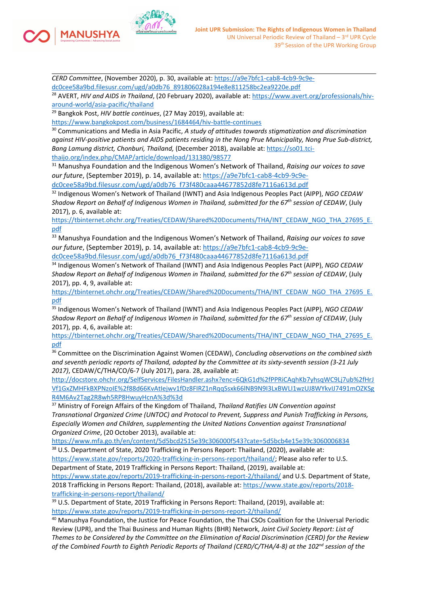

**1ANUSHYA** 

*CERD Committee*, (November 2020), p. 30, available at: [https://a9e7bfc1-cab8-4cb9-9c9e](https://a9e7bfc1-cab8-4cb9-9c9e-dc0cee58a9bd.filesusr.com/ugd/a0db76_891806028a194e8e811258bc2ea9220e.pdf)[dc0cee58a9bd.filesusr.com/ugd/a0db76\\_891806028a194e8e811258bc2ea9220e.pdf](https://a9e7bfc1-cab8-4cb9-9c9e-dc0cee58a9bd.filesusr.com/ugd/a0db76_891806028a194e8e811258bc2ea9220e.pdf)

28 AVERT, *HIV and AIDS in Thailand*, (20 February 2020), available at: [https://www.avert.org/professionals/hiv](https://www.avert.org/professionals/hiv-around-world/asia-pacific/thailand)[around-world/asia-pacific/thailand](https://www.avert.org/professionals/hiv-around-world/asia-pacific/thailand)

29 Bangkok Post, *HIV battle continues*, (27 May 2019), available at:

<https://www.bangkokpost.com/business/1684464/hiv-battle-continues>

30 Communications and Media in Asia Pacific, *A study of attitudes towards stigmatization and discrimination against HIV-positive patients and AIDS patients residing in the Nong Prue Municipality, Nong Prue Sub-district, Bang Lamung district, Chonburi, Thailand,* (December 2018), available at: [https://so01.tci](https://so01.tci-thaijo.org/index.php/CMAP/article/download/131380/98577)[thaijo.org/index.php/CMAP/article/download/131380/98577](https://so01.tci-thaijo.org/index.php/CMAP/article/download/131380/98577)

<sup>31</sup> Manushya Foundation and the Indigenous Women'<sup>s</sup> Network of Thailand, *Raising our voices to save our future*, (September 2019), p. 14, available at: [https://a9e7bfc1-cab8-4cb9-9c9e](https://a9e7bfc1-cab8-4cb9-9c9e-dc0cee58a9bd.filesusr.com/ugd/a0db76_f73f480caaa44677852d8fe7116a613d.pdf)[dc0cee58a9bd.filesusr.com/ugd/a0db76\\_f73f480caaa44677852d8fe7116a613d.pdf](https://a9e7bfc1-cab8-4cb9-9c9e-dc0cee58a9bd.filesusr.com/ugd/a0db76_f73f480caaa44677852d8fe7116a613d.pdf)

32 Indigenous Women'<sup>s</sup> Network of Thailand (IWNT) and Asia Indigenous Peoples Pact (AIPP), *NGO CEDAW Shadow Report on Behalf of Indigenous Women in Thailand, submitted for the <sup>67</sup>th session of CEDAW*, (July 2017), p. 6, available at:

[https://tbinternet.ohchr.org/Treaties/CEDAW/Shared%20Documents/THA/INT\\_CEDAW\\_NGO\\_THA\\_27695\\_E.](https://tbinternet.ohchr.org/Treaties/CEDAW/Shared%20Documents/THA/INT_CEDAW_NGO_THA_27695_E.pdf) [pdf](https://tbinternet.ohchr.org/Treaties/CEDAW/Shared%20Documents/THA/INT_CEDAW_NGO_THA_27695_E.pdf)

<sup>33</sup> Manushya Foundation and the Indigenous Women'<sup>s</sup> Network of Thailand, *Raising our voices to save our future*, (September 2019), p. 14, available at: [https://a9e7bfc1-cab8-4cb9-9c9e](https://a9e7bfc1-cab8-4cb9-9c9e-dc0cee58a9bd.filesusr.com/ugd/a0db76_f73f480caaa44677852d8fe7116a613d.pdf)[dc0cee58a9bd.filesusr.com/ugd/a0db76\\_f73f480caaa44677852d8fe7116a613d.pdf](https://a9e7bfc1-cab8-4cb9-9c9e-dc0cee58a9bd.filesusr.com/ugd/a0db76_f73f480caaa44677852d8fe7116a613d.pdf)

34 Indigenous Women'<sup>s</sup> Network of Thailand (IWNT) and Asia Indigenous Peoples Pact (AIPP), *NGO CEDAW Shadow Report on Behalf of Indigenous Women in Thailand, submitted for the <sup>67</sup>th session of CEDAW*, (July 2017), pp. 4, 9, available at:

[https://tbinternet.ohchr.org/Treaties/CEDAW/Shared%20Documents/THA/INT\\_CEDAW\\_NGO\\_THA\\_27695\\_E.](https://tbinternet.ohchr.org/Treaties/CEDAW/Shared%20Documents/THA/INT_CEDAW_NGO_THA_27695_E.pdf) [pdf](https://tbinternet.ohchr.org/Treaties/CEDAW/Shared%20Documents/THA/INT_CEDAW_NGO_THA_27695_E.pdf)

35 Indigenous Women'<sup>s</sup> Network of Thailand (IWNT) and Asia Indigenous Peoples Pact (AIPP), *NGO CEDAW Shadow Report on Behalf of Indigenous Women in Thailand, submitted for the <sup>67</sup>th session of CEDAW*, (July 2017), pp. 4, 6, available at:

[https://tbinternet.ohchr.org/Treaties/CEDAW/Shared%20Documents/THA/INT\\_CEDAW\\_NGO\\_THA\\_27695\\_E.](https://tbinternet.ohchr.org/Treaties/CEDAW/Shared%20Documents/THA/INT_CEDAW_NGO_THA_27695_E.pdf) [pdf](https://tbinternet.ohchr.org/Treaties/CEDAW/Shared%20Documents/THA/INT_CEDAW_NGO_THA_27695_E.pdf)

36 Committee on the Discrimination Against Women (CEDAW), *Concluding observations on the combined sixth and seventh periodic reports of Thailand, adopted by the Committee at its sixty-seventh session (3-21 July 2017)*, CEDAW/C/THA/CO/6-7 (July 2017), para. 28, available at:

[http://docstore.ohchr.org/SelfServices/FilesHandler.ashx?enc=6QkG1d%2fPPRiCAqhKb7yhsqWC9Lj7ub%2fHrJ](http://docstore.ohchr.org/SelfServices/FilesHandler.ashx?enc=6QkG1d%2fPPRiCAqhKb7yhsqWC9Lj7ub%2fHrJVf1GxZMHFkBXPNzoIE%2f88d66KvAtIejwv1fDz8FIRZ1nRqqSsxk66lNB9N9I3LxBWLI1wzUJ8WYkvIJ7491mOZKSgR4M6Av2Tag2R8wh5RP8HwuyHcnA%3d%3d) [Vf1GxZMHFkBXPNzoIE%2f88d66KvAtIejwv1fDz8FIRZ1nRqqSsxk66lNB9N9I3LxBWLI1wzUJ8WYkvIJ7491mOZKSg](http://docstore.ohchr.org/SelfServices/FilesHandler.ashx?enc=6QkG1d%2fPPRiCAqhKb7yhsqWC9Lj7ub%2fHrJVf1GxZMHFkBXPNzoIE%2f88d66KvAtIejwv1fDz8FIRZ1nRqqSsxk66lNB9N9I3LxBWLI1wzUJ8WYkvIJ7491mOZKSgR4M6Av2Tag2R8wh5RP8HwuyHcnA%3d%3d) [R4M6Av2Tag2R8wh5RP8HwuyHcnA%3d%3d](http://docstore.ohchr.org/SelfServices/FilesHandler.ashx?enc=6QkG1d%2fPPRiCAqhKb7yhsqWC9Lj7ub%2fHrJVf1GxZMHFkBXPNzoIE%2f88d66KvAtIejwv1fDz8FIRZ1nRqqSsxk66lNB9N9I3LxBWLI1wzUJ8WYkvIJ7491mOZKSgR4M6Av2Tag2R8wh5RP8HwuyHcnA%3d%3d)

<sup>37</sup> Ministry of Foreign Affairs of the Kingdom of Thailand, *Thailand Ratifies UN Convention against Transnational Organized Crime (UNTOC) and Protocol to Prevent, Suppress and Punish Trafficking in Persons, Especially Women and Children, supplementing the United Nations Convention against Transnational Organized Crime*, (20 October 2013), available at:

<https://www.mfa.go.th/en/content/5d5bcd2515e39c306000f543?cate=5d5bcb4e15e39c3060006834>

 $^{38}$  U.S. Department of State, 2020 Trafficking in Persons Report: Thailand, (2020), available at: <https://www.state.gov/reports/2020-trafficking-in-persons-report/thailand/>; Please also refer to U.S. Department of State, 2019 Trafficking in Persons Report: Thailand, (2019), available at:

<https://www.state.gov/reports/2019-trafficking-in-persons-report-2/thailand/> and U.S. Department of State, 2018 Trafficking in Persons Report: Thailand, (2018), available at: [https://www.state.gov/reports/2018](https://www.state.gov/reports/2018-trafficking-in-persons-report/thailand/) [trafficking-in-persons-report/thailand/](https://www.state.gov/reports/2018-trafficking-in-persons-report/thailand/)

<sup>39</sup> U.S. Department of State, 2019 Trafficking in Persons Report: Thailand, (2019), available at: <https://www.state.gov/reports/2019-trafficking-in-persons-report-2/thailand/>

<sup>40</sup> Manushya Foundation, the Justice for Peace Foundation, the Thai CSOs Coalition for the Universal Periodic Review (UPR), and the Thai Business and Human Rights (BHR) Network, *Joint Civil Society Report: List of* Themes to be Considered by the Committee on the Elimination of Racial Discrimination (CERD) for the Review of the Combined Fourth to Eighth Periodic Reports of Thailand (CERD/C/THA/4-8) at the 102<sup>nd</sup> session of the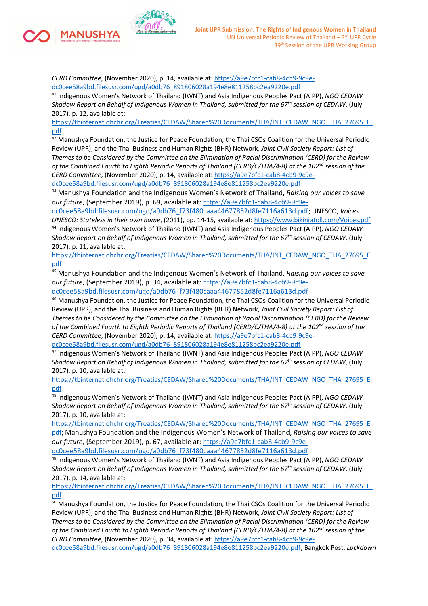

*CERD Committee*, (November 2020), p. 14, available at: [https://a9e7bfc1-cab8-4cb9-9c9e](https://a9e7bfc1-cab8-4cb9-9c9e-dc0cee58a9bd.filesusr.com/ugd/a0db76_891806028a194e8e811258bc2ea9220e.pdf)[dc0cee58a9bd.filesusr.com/ugd/a0db76\\_891806028a194e8e811258bc2ea9220e.pdf](https://a9e7bfc1-cab8-4cb9-9c9e-dc0cee58a9bd.filesusr.com/ugd/a0db76_891806028a194e8e811258bc2ea9220e.pdf)

41 Indigenous Women'<sup>s</sup> Network of Thailand (IWNT) and Asia Indigenous Peoples Pact (AIPP), *NGO CEDAW Shadow Report on Behalf of Indigenous Women in Thailand, submitted for the <sup>67</sup>th session of CEDAW*, (July 2017), p. 12, available at:

[https://tbinternet.ohchr.org/Treaties/CEDAW/Shared%20Documents/THA/INT\\_CEDAW\\_NGO\\_THA\\_27695\\_E.](https://tbinternet.ohchr.org/Treaties/CEDAW/Shared%20Documents/THA/INT_CEDAW_NGO_THA_27695_E.pdf) [pdf](https://tbinternet.ohchr.org/Treaties/CEDAW/Shared%20Documents/THA/INT_CEDAW_NGO_THA_27695_E.pdf)

<sup>42</sup> Manushya Foundation, the Justice for Peace Foundation, the Thai CSOs Coalition for the Universal Periodic Review (UPR), and the Thai Business and Human Rights (BHR) Network, *Joint Civil Society Report: List of* Themes to be Considered by the Committee on the Elimination of Racial Discrimination (CERD) for the Review of the Combined Fourth to Eighth Periodic Reports of Thailand (CERD/C/THA/4-8) at the 102<sup>nd</sup> session of the *CERD Committee*, (November 2020), p. 14, available at: [https://a9e7bfc1-cab8-4cb9-9c9e](https://a9e7bfc1-cab8-4cb9-9c9e-dc0cee58a9bd.filesusr.com/ugd/a0db76_891806028a194e8e811258bc2ea9220e.pdf)[dc0cee58a9bd.filesusr.com/ugd/a0db76\\_891806028a194e8e811258bc2ea9220e.pdf](https://a9e7bfc1-cab8-4cb9-9c9e-dc0cee58a9bd.filesusr.com/ugd/a0db76_891806028a194e8e811258bc2ea9220e.pdf)

<sup>43</sup> Manushya Foundation and the Indigenous Women'<sup>s</sup> Network of Thailand, *Raising our voices to save our future*, (September 2019), p. 69, available at: [https://a9e7bfc1-cab8-4cb9-9c9e-](https://a9e7bfc1-cab8-4cb9-9c9e-dc0cee58a9bd.filesusr.com/ugd/a0db76_f73f480caaa44677852d8fe7116a613d.pdf)

[dc0cee58a9bd.filesusr.com/ugd/a0db76\\_f73f480caaa44677852d8fe7116a613d.pdf](https://a9e7bfc1-cab8-4cb9-9c9e-dc0cee58a9bd.filesusr.com/ugd/a0db76_f73f480caaa44677852d8fe7116a613d.pdf); UNESCO, *Voices UNESCO: Stateless in their own home*, (2011), pp. 14-15, available at: <https://www.bikiniatoll.com/Voices.pdf> 44 Indigenous Women'<sup>s</sup> Network of Thailand (IWNT) and Asia Indigenous Peoples Pact (AIPP), *NGO CEDAW Shadow Report on Behalf of Indigenous Women in Thailand, submitted for the <sup>67</sup>th session of CEDAW*, (July 2017), p. 11, available at:

[https://tbinternet.ohchr.org/Treaties/CEDAW/Shared%20Documents/THA/INT\\_CEDAW\\_NGO\\_THA\\_27695\\_E.](https://tbinternet.ohchr.org/Treaties/CEDAW/Shared%20Documents/THA/INT_CEDAW_NGO_THA_27695_E.pdf) [pdf](https://tbinternet.ohchr.org/Treaties/CEDAW/Shared%20Documents/THA/INT_CEDAW_NGO_THA_27695_E.pdf)

<sup>45</sup> Manushya Foundation and the Indigenous Women'<sup>s</sup> Network of Thailand, *Raising our voices to save our future*, (September 2019), p. 34, available at: [https://a9e7bfc1-cab8-4cb9-9c9e](https://a9e7bfc1-cab8-4cb9-9c9e-dc0cee58a9bd.filesusr.com/ugd/a0db76_f73f480caaa44677852d8fe7116a613d.pdf)[dc0cee58a9bd.filesusr.com/ugd/a0db76\\_f73f480caaa44677852d8fe7116a613d.pdf](https://a9e7bfc1-cab8-4cb9-9c9e-dc0cee58a9bd.filesusr.com/ugd/a0db76_f73f480caaa44677852d8fe7116a613d.pdf)

<sup>46</sup> Manushya Foundation, the Justice for Peace Foundation, the Thai CSOs Coalition for the Universal Periodic Review (UPR), and the Thai Business and Human Rights (BHR) Network, *Joint Civil Society Report: List of* Themes to be Considered by the Committee on the Elimination of Racial Discrimination (CERD) for the Review of the Combined Fourth to Eighth Periodic Reports of Thailand (CERD/C/THA/4-8) at the 102<sup>nd</sup> session of the *CERD Committee*, (November 2020), p. 14, available at: [https://a9e7bfc1-cab8-4cb9-9c9e](https://a9e7bfc1-cab8-4cb9-9c9e-dc0cee58a9bd.filesusr.com/ugd/a0db76_891806028a194e8e811258bc2ea9220e.pdf)[dc0cee58a9bd.filesusr.com/ugd/a0db76\\_891806028a194e8e811258bc2ea9220e.pdf](https://a9e7bfc1-cab8-4cb9-9c9e-dc0cee58a9bd.filesusr.com/ugd/a0db76_891806028a194e8e811258bc2ea9220e.pdf)

47 Indigenous Women'<sup>s</sup> Network of Thailand (IWNT) and Asia Indigenous Peoples Pact (AIPP), *NGO CEDAW Shadow Report on Behalf of Indigenous Women in Thailand, submitted for the <sup>67</sup>th session of CEDAW*, (July 2017), p. 10, available at:

[https://tbinternet.ohchr.org/Treaties/CEDAW/Shared%20Documents/THA/INT\\_CEDAW\\_NGO\\_THA\\_27695\\_E.](https://tbinternet.ohchr.org/Treaties/CEDAW/Shared%20Documents/THA/INT_CEDAW_NGO_THA_27695_E.pdf) [pdf](https://tbinternet.ohchr.org/Treaties/CEDAW/Shared%20Documents/THA/INT_CEDAW_NGO_THA_27695_E.pdf)

48 Indigenous Women'<sup>s</sup> Network of Thailand (IWNT) and Asia Indigenous Peoples Pact (AIPP), *NGO CEDAW Shadow Report on Behalf of Indigenous Women in Thailand, submitted for the <sup>67</sup>th session of CEDAW*, (July 2017), p. 10, available at:

[https://tbinternet.ohchr.org/Treaties/CEDAW/Shared%20Documents/THA/INT\\_CEDAW\\_NGO\\_THA\\_27695\\_E.](https://tbinternet.ohchr.org/Treaties/CEDAW/Shared%20Documents/THA/INT_CEDAW_NGO_THA_27695_E.pdf) [pdf;](https://tbinternet.ohchr.org/Treaties/CEDAW/Shared%20Documents/THA/INT_CEDAW_NGO_THA_27695_E.pdf) Manushya Foundation and the Indigenous Women'<sup>s</sup> Network of Thailand, *Raising our voices to save our future*, (September 2019), p. 67, available at: [https://a9e7bfc1-cab8-4cb9-9c9e](https://a9e7bfc1-cab8-4cb9-9c9e-dc0cee58a9bd.filesusr.com/ugd/a0db76_f73f480caaa44677852d8fe7116a613d.pdf)[dc0cee58a9bd.filesusr.com/ugd/a0db76\\_f73f480caaa44677852d8fe7116a613d.pdf](https://a9e7bfc1-cab8-4cb9-9c9e-dc0cee58a9bd.filesusr.com/ugd/a0db76_f73f480caaa44677852d8fe7116a613d.pdf)

49 Indigenous Women'<sup>s</sup> Network of Thailand (IWNT) and Asia Indigenous Peoples Pact (AIPP), *NGO CEDAW Shadow Report on Behalf of Indigenous Women in Thailand, submitted for the <sup>67</sup>th session of CEDAW*, (July 2017), p. 14, available at:

[https://tbinternet.ohchr.org/Treaties/CEDAW/Shared%20Documents/THA/INT\\_CEDAW\\_NGO\\_THA\\_27695\\_E.](https://tbinternet.ohchr.org/Treaties/CEDAW/Shared%20Documents/THA/INT_CEDAW_NGO_THA_27695_E.pdf) [pdf](https://tbinternet.ohchr.org/Treaties/CEDAW/Shared%20Documents/THA/INT_CEDAW_NGO_THA_27695_E.pdf)

<sup>50</sup> Manushya Foundation, the Justice for Peace Foundation, the Thai CSOs Coalition for the Universal Periodic Review (UPR), and the Thai Business and Human Rights (BHR) Network, *Joint Civil Society Report: List of* Themes to be Considered by the Committee on the Elimination of Racial Discrimination (CERD) for the Review of the Combined Fourth to Eighth Periodic Reports of Thailand (CERD/C/THA/4-8) at the 102<sup>nd</sup> session of the *CERD Committee*, (November 2020), p. 34, available at: [https://a9e7bfc1-cab8-4cb9-9c9e-](https://a9e7bfc1-cab8-4cb9-9c9e-dc0cee58a9bd.filesusr.com/ugd/a0db76_891806028a194e8e811258bc2ea9220e.pdf)

[dc0cee58a9bd.filesusr.com/ugd/a0db76\\_891806028a194e8e811258bc2ea9220e.pdf](https://a9e7bfc1-cab8-4cb9-9c9e-dc0cee58a9bd.filesusr.com/ugd/a0db76_891806028a194e8e811258bc2ea9220e.pdf); Bangkok Post, *Lockdown*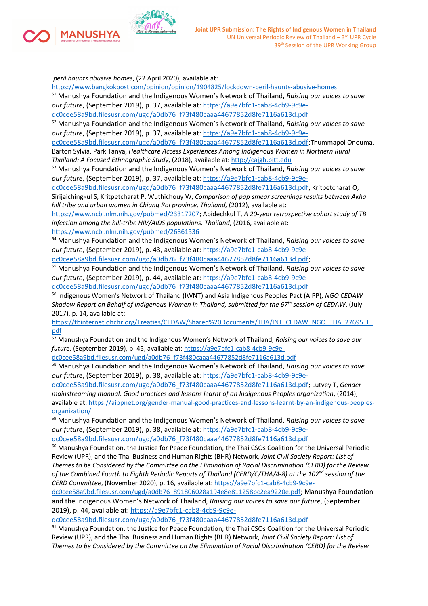

*peril haunts abusive homes*, (22 April 2020), available at:

**MANUSHYA** 

<https://www.bangkokpost.com/opinion/opinion/1904825/lockdown-peril-haunts-abusive-homes>

<sup>51</sup> Manushya Foundation and the Indigenous Women'<sup>s</sup> Network of Thailand, *Raising our voices to save our future*, (September 2019), p. 37, available at: [https://a9e7bfc1-cab8-4cb9-9c9e-](https://a9e7bfc1-cab8-4cb9-9c9e-dc0cee58a9bd.filesusr.com/ugd/a0db76_f73f480caaa44677852d8fe7116a613d.pdf)

[dc0cee58a9bd.filesusr.com/ugd/a0db76\\_f73f480caaa44677852d8fe7116a613d.pdf](https://a9e7bfc1-cab8-4cb9-9c9e-dc0cee58a9bd.filesusr.com/ugd/a0db76_f73f480caaa44677852d8fe7116a613d.pdf)

<sup>52</sup> Manushya Foundation and the Indigenous Women'<sup>s</sup> Network of Thailand, *Raising our voices to save our future*, (September 2019), p. 37, available at: [https://a9e7bfc1-cab8-4cb9-9c9e-](https://a9e7bfc1-cab8-4cb9-9c9e-dc0cee58a9bd.filesusr.com/ugd/a0db76_f73f480caaa44677852d8fe7116a613d.pdf)

[dc0cee58a9bd.filesusr.com/ugd/a0db76\\_f73f480caaa44677852d8fe7116a613d.pdf](https://a9e7bfc1-cab8-4cb9-9c9e-dc0cee58a9bd.filesusr.com/ugd/a0db76_f73f480caaa44677852d8fe7116a613d.pdf);Thummapol Onouma, Barton Sylvia, Park Tanya, *Healthcare Access Experiences Among Indigenous Women in Northern Rural Thailand: A Focused Ethnographic Study*, (2018), available at: <http://cajgh.pitt.edu>

<sup>53</sup> Manushya Foundation and the Indigenous Women'<sup>s</sup> Network of Thailand, *Raising our voices to save our future*, (September 2019), p. 37, available at: [https://a9e7bfc1-cab8-4cb9-9c9e-](https://a9e7bfc1-cab8-4cb9-9c9e-dc0cee58a9bd.filesusr.com/ugd/a0db76_f73f480caaa44677852d8fe7116a613d.pdf)

[dc0cee58a9bd.filesusr.com/ugd/a0db76\\_f73f480caaa44677852d8fe7116a613d.pdf](https://a9e7bfc1-cab8-4cb9-9c9e-dc0cee58a9bd.filesusr.com/ugd/a0db76_f73f480caaa44677852d8fe7116a613d.pdf); Kritpetcharat O, Sirijaichingkul S, Kritpetcharat P, Wuthichouy W, *Comparison of pap smear screenings results between Akha hill tribe and urban women in Chiang Rai province, Thailand,* (2012), available at:

<https://www.ncbi.nlm.nih.gov/pubmed/23317207>; Apidechkul T, *A 20-year retrospective cohort study of TB infection among the hill-tribe HIV/AIDS populations, Thailand*, (2016, available at:

<https://www.ncbi.nlm.nih.gov/pubmed/26861536>

<sup>54</sup> Manushya Foundation and the Indigenous Women'<sup>s</sup> Network of Thailand, *Raising our voices to save our future*, (September 2019), p. 43, available at: [https://a9e7bfc1-cab8-4cb9-9c9e-](https://a9e7bfc1-cab8-4cb9-9c9e-dc0cee58a9bd.filesusr.com/ugd/a0db76_f73f480caaa44677852d8fe7116a613d.pdf)

[dc0cee58a9bd.filesusr.com/ugd/a0db76\\_f73f480caaa44677852d8fe7116a613d.pdf](https://a9e7bfc1-cab8-4cb9-9c9e-dc0cee58a9bd.filesusr.com/ugd/a0db76_f73f480caaa44677852d8fe7116a613d.pdf);

<sup>55</sup> Manushya Foundation and the Indigenous Women'<sup>s</sup> Network of Thailand, *Raising our voices to save our future*, (September 2019), p. 44, available at: [https://a9e7bfc1-cab8-4cb9-9c9e](https://a9e7bfc1-cab8-4cb9-9c9e-dc0cee58a9bd.filesusr.com/ugd/a0db76_f73f480caaa44677852d8fe7116a613d.pdf)[dc0cee58a9bd.filesusr.com/ugd/a0db76\\_f73f480caaa44677852d8fe7116a613d.pdf](https://a9e7bfc1-cab8-4cb9-9c9e-dc0cee58a9bd.filesusr.com/ugd/a0db76_f73f480caaa44677852d8fe7116a613d.pdf)

56 Indigenous Women'<sup>s</sup> Network of Thailand (IWNT) and Asia Indigenous Peoples Pact (AIPP), *NGO CEDAW Shadow Report on Behalf of Indigenous Women in Thailand, submitted for the <sup>67</sup>th session of CEDAW*, (July 2017), p. 14, available at:

[https://tbinternet.ohchr.org/Treaties/CEDAW/Shared%20Documents/THA/INT\\_CEDAW\\_NGO\\_THA\\_27695\\_E.](https://tbinternet.ohchr.org/Treaties/CEDAW/Shared%20Documents/THA/INT_CEDAW_NGO_THA_27695_E.pdf) [pdf](https://tbinternet.ohchr.org/Treaties/CEDAW/Shared%20Documents/THA/INT_CEDAW_NGO_THA_27695_E.pdf)

<sup>57</sup> Manushya Foundation and the Indigenous Women'<sup>s</sup> Network of Thailand, *Raising our voices to save our future*, (September 2019), p. 45, available at: [https://a9e7bfc1-cab8-4cb9-9c9e-](https://a9e7bfc1-cab8-4cb9-9c9e-dc0cee58a9bd.filesusr.com/ugd/a0db76_f73f480caaa44677852d8fe7116a613d.pdf)

[dc0cee58a9bd.filesusr.com/ugd/a0db76\\_f73f480caaa44677852d8fe7116a613d.pdf](https://a9e7bfc1-cab8-4cb9-9c9e-dc0cee58a9bd.filesusr.com/ugd/a0db76_f73f480caaa44677852d8fe7116a613d.pdf)

<sup>58</sup> Manushya Foundation and the Indigenous Women'<sup>s</sup> Network of Thailand, *Raising our voices to save our future*, (September 2019), p. 38, available at: [https://a9e7bfc1-cab8-4cb9-9c9e-](https://a9e7bfc1-cab8-4cb9-9c9e-dc0cee58a9bd.filesusr.com/ugd/a0db76_f73f480caaa44677852d8fe7116a613d.pdf)

[dc0cee58a9bd.filesusr.com/ugd/a0db76\\_f73f480caaa44677852d8fe7116a613d.pdf](https://a9e7bfc1-cab8-4cb9-9c9e-dc0cee58a9bd.filesusr.com/ugd/a0db76_f73f480caaa44677852d8fe7116a613d.pdf); Lutvey T, *Gender mainstreaming manual: Good practices and lessons learnt of an Indigenous Peoples organization*, (2014), available at: [https://aippnet.org/gender-manual-good-practices-and-lessons-learnt-by-an-indigenous-peoples](https://aippnet.org/gender-manual-good-practices-and-lessons-learnt-by-an-indigenous-peoples-organization/)[organization/](https://aippnet.org/gender-manual-good-practices-and-lessons-learnt-by-an-indigenous-peoples-organization/)

<sup>59</sup> Manushya Foundation and the Indigenous Women'<sup>s</sup> Network of Thailand, *Raising our voices to save our future*, (September 2019), p. 38, available at: [https://a9e7bfc1-cab8-4cb9-9c9e](https://a9e7bfc1-cab8-4cb9-9c9e-dc0cee58a9bd.filesusr.com/ugd/a0db76_f73f480caaa44677852d8fe7116a613d.pdf)[dc0cee58a9bd.filesusr.com/ugd/a0db76\\_f73f480caaa44677852d8fe7116a613d.pdf](https://a9e7bfc1-cab8-4cb9-9c9e-dc0cee58a9bd.filesusr.com/ugd/a0db76_f73f480caaa44677852d8fe7116a613d.pdf)

<sup>60</sup> Manushya Foundation, the Justice for Peace Foundation, the Thai CSOs Coalition for the Universal Periodic Review (UPR), and the Thai Business and Human Rights (BHR) Network, *Joint Civil Society Report: List of* Themes to be Considered by the Committee on the Elimination of Racial Discrimination (CERD) for the Review of the Combined Fourth to Eighth Periodic Reports of Thailand (CERD/C/THA/4-8) at the 102<sup>nd</sup> session of the *CERD Committee*, (November 2020), p. 16, available at: [https://a9e7bfc1-cab8-4cb9-9c9e-](https://a9e7bfc1-cab8-4cb9-9c9e-dc0cee58a9bd.filesusr.com/ugd/a0db76_891806028a194e8e811258bc2ea9220e.pdf)

[dc0cee58a9bd.filesusr.com/ugd/a0db76\\_891806028a194e8e811258bc2ea9220e.pdf](https://a9e7bfc1-cab8-4cb9-9c9e-dc0cee58a9bd.filesusr.com/ugd/a0db76_891806028a194e8e811258bc2ea9220e.pdf); Manushya Foundation and the Indigenous Women'<sup>s</sup> Network of Thailand, *Raising our voices to save our future*, (September 2019), p. 44, available at: [https://a9e7bfc1-cab8-4cb9-9c9e-](https://a9e7bfc1-cab8-4cb9-9c9e-dc0cee58a9bd.filesusr.com/ugd/a0db76_f73f480caaa44677852d8fe7116a613d.pdf)

[dc0cee58a9bd.filesusr.com/ugd/a0db76\\_f73f480caaa44677852d8fe7116a613d.pdf](https://a9e7bfc1-cab8-4cb9-9c9e-dc0cee58a9bd.filesusr.com/ugd/a0db76_f73f480caaa44677852d8fe7116a613d.pdf)

<sup>61</sup> Manushya Foundation, the Justice for Peace Foundation, the Thai CSOs Coalition for the Universal Periodic Review (UPR), and the Thai Business and Human Rights (BHR) Network, *Joint Civil Society Report: List of* Themes to be Considered by the Committee on the Elimination of Racial Discrimination (CERD) for the Review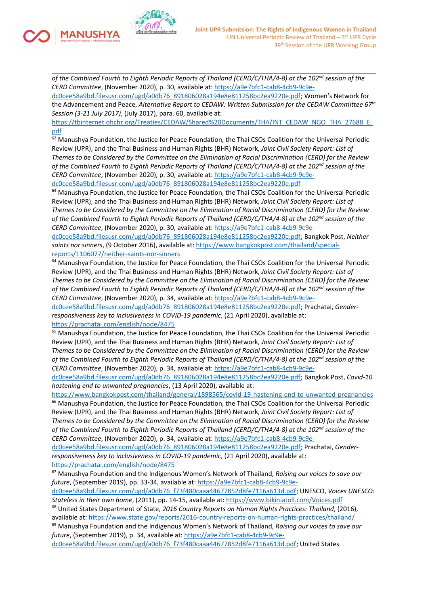of the Combined Fourth to Eighth Periodic Reports of Thailand (CERD/C/THA/4-8) at the 102<sup>nd</sup> session of the *CERD Committee*, (November 2020), p. 30, available at: [https://a9e7bfc1-cab8-4cb9-9c9e-](https://a9e7bfc1-cab8-4cb9-9c9e-dc0cee58a9bd.filesusr.com/ugd/a0db76_891806028a194e8e811258bc2ea9220e.pdf)

**IANUSHYA** 

[dc0cee58a9bd.filesusr.com/ugd/a0db76\\_891806028a194e8e811258bc2ea9220e.pdf](https://a9e7bfc1-cab8-4cb9-9c9e-dc0cee58a9bd.filesusr.com/ugd/a0db76_891806028a194e8e811258bc2ea9220e.pdf); Women'<sup>s</sup> Network for the Advancement and Peace, *Alternative Report to CEDAW: Written Submission for the CEDAW Committee <sup>67</sup>th Session (3-21 July 2017)*, (July 2017), para. 60, available at:

[https://tbinternet.ohchr.org/Treaties/CEDAW/Shared%20Documents/THA/INT\\_CEDAW\\_NGO\\_THA\\_27688\\_E.](https://tbinternet.ohchr.org/Treaties/CEDAW/Shared%20Documents/THA/INT_CEDAW_NGO_THA_27688_E.pdf) [pdf](https://tbinternet.ohchr.org/Treaties/CEDAW/Shared%20Documents/THA/INT_CEDAW_NGO_THA_27688_E.pdf)

<sup>62</sup> Manushya Foundation, the Justice for Peace Foundation, the Thai CSOs Coalition for the Universal Periodic Review (UPR), and the Thai Business and Human Rights (BHR) Network, *Joint Civil Society Report: List of* Themes to be Considered by the Committee on the Elimination of Racial Discrimination (CERD) for the Review of the Combined Fourth to Eighth Periodic Reports of Thailand (CERD/C/THA/4-8) at the 102<sup>nd</sup> session of the *CERD Committee*, (November 2020), p. 30, available at: [https://a9e7bfc1-cab8-4cb9-9c9e](https://a9e7bfc1-cab8-4cb9-9c9e-dc0cee58a9bd.filesusr.com/ugd/a0db76_891806028a194e8e811258bc2ea9220e.pdf)[dc0cee58a9bd.filesusr.com/ugd/a0db76\\_891806028a194e8e811258bc2ea9220e.pdf](https://a9e7bfc1-cab8-4cb9-9c9e-dc0cee58a9bd.filesusr.com/ugd/a0db76_891806028a194e8e811258bc2ea9220e.pdf)

<sup>63</sup> Manushya Foundation, the Justice for Peace Foundation, the Thai CSOs Coalition for the Universal Periodic Review (UPR), and the Thai Business and Human Rights (BHR) Network, *Joint Civil Society Report: List of* Themes to be Considered by the Committee on the Elimination of Racial Discrimination (CERD) for the Review of the Combined Fourth to Eighth Periodic Reports of Thailand (CERD/C/THA/4-8) at the 102<sup>nd</sup> session of the *CERD Committee*, (November 2020), p. 30, available at: [https://a9e7bfc1-cab8-4cb9-9c9e-](https://a9e7bfc1-cab8-4cb9-9c9e-dc0cee58a9bd.filesusr.com/ugd/a0db76_891806028a194e8e811258bc2ea9220e.pdf)

[dc0cee58a9bd.filesusr.com/ugd/a0db76\\_891806028a194e8e811258bc2ea9220e.pdf](https://a9e7bfc1-cab8-4cb9-9c9e-dc0cee58a9bd.filesusr.com/ugd/a0db76_891806028a194e8e811258bc2ea9220e.pdf); Bangkok Post, *Neither saints nor sinners*, (9 October 2016), available at: [https://www.bangkokpost.com/thailand/special](https://www.bangkokpost.com/thailand/special-reports/1106077/neither-saints-nor-sinners)[reports/1106077/neither-saints-nor-sinners](https://www.bangkokpost.com/thailand/special-reports/1106077/neither-saints-nor-sinners)

<sup>64</sup> Manushya Foundation, the Justice for Peace Foundation, the Thai CSOs Coalition for the Universal Periodic Review (UPR), and the Thai Business and Human Rights (BHR) Network, *Joint Civil Society Report: List of* Themes to be Considered by the Committee on the Elimination of Racial Discrimination (CERD) for the Review of the Combined Fourth to Eighth Periodic Reports of Thailand (CERD/C/THA/4-8) at the 102<sup>nd</sup> session of the *CERD Committee*, (November 2020), p. 34, available at: [https://a9e7bfc1-cab8-4cb9-9c9e-](https://a9e7bfc1-cab8-4cb9-9c9e-dc0cee58a9bd.filesusr.com/ugd/a0db76_891806028a194e8e811258bc2ea9220e.pdf)

[dc0cee58a9bd.filesusr.com/ugd/a0db76\\_891806028a194e8e811258bc2ea9220e.pdf](https://a9e7bfc1-cab8-4cb9-9c9e-dc0cee58a9bd.filesusr.com/ugd/a0db76_891806028a194e8e811258bc2ea9220e.pdf); Prachatai, *Genderresponsiveness key to inclusiveness in COVID-19 pandemic*, (21 April 2020), available at: <https://prachatai.com/english/node/8475>

<sup>65</sup> Manushya Foundation, the Justice for Peace Foundation, the Thai CSOs Coalition for the Universal Periodic Review (UPR), and the Thai Business and Human Rights (BHR) Network, *Joint Civil Society Report: List of* Themes to be Considered by the Committee on the Elimination of Racial Discrimination (CERD) for the Review of the Combined Fourth to Eighth Periodic Reports of Thailand (CERD/C/THA/4-8) at the 102<sup>nd</sup> session of the *CERD Committee*, (November 2020), p. 34, available at: [https://a9e7bfc1-cab8-4cb9-9c9e-](https://a9e7bfc1-cab8-4cb9-9c9e-dc0cee58a9bd.filesusr.com/ugd/a0db76_891806028a194e8e811258bc2ea9220e.pdf)

[dc0cee58a9bd.filesusr.com/ugd/a0db76\\_891806028a194e8e811258bc2ea9220e.pdf](https://a9e7bfc1-cab8-4cb9-9c9e-dc0cee58a9bd.filesusr.com/ugd/a0db76_891806028a194e8e811258bc2ea9220e.pdf); Bangkok Post, *Covid-10 hastening end to unwanted pregnancies*, (13 April 2020), available at:

<https://www.bangkokpost.com/thailand/general/1898565/covid-19-hastening-end-to-unwanted-pregnancies> <sup>66</sup> Manushya Foundation, the Justice for Peace Foundation, the Thai CSOs Coalition for the Universal Periodic Review (UPR), and the Thai Business and Human Rights (BHR) Network, *Joint Civil Society Report: List of* Themes to be Considered by the Committee on the Elimination of Racial Discrimination (CERD) for the Review of the Combined Fourth to Eighth Periodic Reports of Thailand (CERD/C/THA/4-8) at the 102<sup>nd</sup> session of the *CERD Committee*, (November 2020), p. 34, available at: [https://a9e7bfc1-cab8-4cb9-9c9e-](https://a9e7bfc1-cab8-4cb9-9c9e-dc0cee58a9bd.filesusr.com/ugd/a0db76_891806028a194e8e811258bc2ea9220e.pdf)

[dc0cee58a9bd.filesusr.com/ugd/a0db76\\_891806028a194e8e811258bc2ea9220e.pdf](https://a9e7bfc1-cab8-4cb9-9c9e-dc0cee58a9bd.filesusr.com/ugd/a0db76_891806028a194e8e811258bc2ea9220e.pdf); Prachatai, *Genderresponsiveness key to inclusiveness in COVID-19 pandemic*, (21 April 2020), available at: <https://prachatai.com/english/node/8475>

<sup>67</sup> Manushya Foundation and the Indigenous Women'<sup>s</sup> Network of Thailand, *Raising our voices to save our future*, (September 2019), pp. 33-34, available at: [https://a9e7bfc1-cab8-4cb9-9c9e-](https://a9e7bfc1-cab8-4cb9-9c9e-dc0cee58a9bd.filesusr.com/ugd/a0db76_f73f480caaa44677852d8fe7116a613d.pdf)

[dc0cee58a9bd.filesusr.com/ugd/a0db76\\_f73f480caaa44677852d8fe7116a613d.pdf](https://a9e7bfc1-cab8-4cb9-9c9e-dc0cee58a9bd.filesusr.com/ugd/a0db76_f73f480caaa44677852d8fe7116a613d.pdf); UNESCO, *Voices UNESCO: Stateless in their own home*, (2011), pp. 14-15, available at: <https://www.bikiniatoll.com/Voices.pdf>

68 United States Department of State, *2016 Country Reports on Human Rights Practices: Thailand*, (2016), available at: <https://www.state.gov/reports/2016-country-reports-on-human-rights-practices/thailand/>

<sup>69</sup> Manushya Foundation and the Indigenous Women'<sup>s</sup> Network of Thailand, *Raising our voices to save our future*, (September 2019), p. 34, available at: [https://a9e7bfc1-cab8-4cb9-9c9e-](https://a9e7bfc1-cab8-4cb9-9c9e-dc0cee58a9bd.filesusr.com/ugd/a0db76_f73f480caaa44677852d8fe7116a613d.pdf)

[dc0cee58a9bd.filesusr.com/ugd/a0db76\\_f73f480caaa44677852d8fe7116a613d.pdf](https://a9e7bfc1-cab8-4cb9-9c9e-dc0cee58a9bd.filesusr.com/ugd/a0db76_f73f480caaa44677852d8fe7116a613d.pdf); United States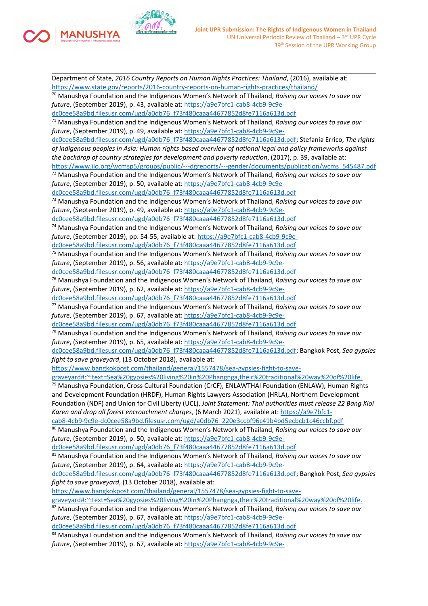

**MANUSHYA** 

Department of State, *2016 Country Reports on Human Rights Practices: Thailand*, (2016), available at: <https://www.state.gov/reports/2016-country-reports-on-human-rights-practices/thailand/> <sup>70</sup> Manushya Foundation and the Indigenous Women'<sup>s</sup> Network of Thailand, *Raising our voices to save our future*, (September 2019), p. 43, available at: [https://a9e7bfc1-cab8-4cb9-9c9e](https://a9e7bfc1-cab8-4cb9-9c9e-dc0cee58a9bd.filesusr.com/ugd/a0db76_f73f480caaa44677852d8fe7116a613d.pdf)[dc0cee58a9bd.filesusr.com/ugd/a0db76\\_f73f480caaa44677852d8fe7116a613d.pdf](https://a9e7bfc1-cab8-4cb9-9c9e-dc0cee58a9bd.filesusr.com/ugd/a0db76_f73f480caaa44677852d8fe7116a613d.pdf) <sup>71</sup> Manushya Foundation and the Indigenous Women'<sup>s</sup> Network of Thailand, *Raising our voices to save our future*, (September 2019), p. 49, available at: [https://a9e7bfc1-cab8-4cb9-9c9e](https://a9e7bfc1-cab8-4cb9-9c9e-dc0cee58a9bd.filesusr.com/ugd/a0db76_f73f480caaa44677852d8fe7116a613d.pdf)[dc0cee58a9bd.filesusr.com/ugd/a0db76\\_f73f480caaa44677852d8fe7116a613d.pdf](https://a9e7bfc1-cab8-4cb9-9c9e-dc0cee58a9bd.filesusr.com/ugd/a0db76_f73f480caaa44677852d8fe7116a613d.pdf); Stefania Errico, *The rights of indigenous peoples in Asia: Human rights-based overview of national legal and policy frameworks against the backdrop of country strategies for development and poverty reduction*, (2017), p. 39, available at: [https://www.ilo.org/wcmsp5/groups/public/---dgreports/---gender/documents/publication/wcms\\_545487.pdf](https://www.ilo.org/wcmsp5/groups/public/---dgreports/---gender/documents/publication/wcms_545487.pdf) <sup>72</sup> Manushya Foundation and the Indigenous Women'<sup>s</sup> Network of Thailand, *Raising our voices to save our future*, (September 2019), p. 50, available at: [https://a9e7bfc1-cab8-4cb9-9c9e](https://a9e7bfc1-cab8-4cb9-9c9e-dc0cee58a9bd.filesusr.com/ugd/a0db76_f73f480caaa44677852d8fe7116a613d.pdf)[dc0cee58a9bd.filesusr.com/ugd/a0db76\\_f73f480caaa44677852d8fe7116a613d.pdf](https://a9e7bfc1-cab8-4cb9-9c9e-dc0cee58a9bd.filesusr.com/ugd/a0db76_f73f480caaa44677852d8fe7116a613d.pdf) <sup>73</sup> Manushya Foundation and the Indigenous Women'<sup>s</sup> Network of Thailand, *Raising our voices to save our future*, (September 2019), p. 49, available at: [https://a9e7bfc1-cab8-4cb9-9c9e](https://a9e7bfc1-cab8-4cb9-9c9e-dc0cee58a9bd.filesusr.com/ugd/a0db76_f73f480caaa44677852d8fe7116a613d.pdf)[dc0cee58a9bd.filesusr.com/ugd/a0db76\\_f73f480caaa44677852d8fe7116a613d.pdf](https://a9e7bfc1-cab8-4cb9-9c9e-dc0cee58a9bd.filesusr.com/ugd/a0db76_f73f480caaa44677852d8fe7116a613d.pdf) <sup>74</sup> Manushya Foundation and the Indigenous Women'<sup>s</sup> Network of Thailand, *Raising our voices to save our future*, (September 2019), pp. 54-55, available at: [https://a9e7bfc1-cab8-4cb9-9c9e](https://a9e7bfc1-cab8-4cb9-9c9e-dc0cee58a9bd.filesusr.com/ugd/a0db76_f73f480caaa44677852d8fe7116a613d.pdf)[dc0cee58a9bd.filesusr.com/ugd/a0db76\\_f73f480caaa44677852d8fe7116a613d.pdf](https://a9e7bfc1-cab8-4cb9-9c9e-dc0cee58a9bd.filesusr.com/ugd/a0db76_f73f480caaa44677852d8fe7116a613d.pdf) <sup>75</sup> Manushya Foundation and the Indigenous Women'<sup>s</sup> Network of Thailand, *Raising our voices to save our future*, (September 2019), p. 56, available at: [https://a9e7bfc1-cab8-4cb9-9c9e](https://a9e7bfc1-cab8-4cb9-9c9e-dc0cee58a9bd.filesusr.com/ugd/a0db76_f73f480caaa44677852d8fe7116a613d.pdf)[dc0cee58a9bd.filesusr.com/ugd/a0db76\\_f73f480caaa44677852d8fe7116a613d.pdf](https://a9e7bfc1-cab8-4cb9-9c9e-dc0cee58a9bd.filesusr.com/ugd/a0db76_f73f480caaa44677852d8fe7116a613d.pdf) <sup>76</sup> Manushya Foundation and the Indigenous Women'<sup>s</sup> Network of Thailand, *Raising our voices to save our future*, (September 2019), p. 62, available at: [https://a9e7bfc1-cab8-4cb9-9c9e](https://a9e7bfc1-cab8-4cb9-9c9e-dc0cee58a9bd.filesusr.com/ugd/a0db76_f73f480caaa44677852d8fe7116a613d.pdf)[dc0cee58a9bd.filesusr.com/ugd/a0db76\\_f73f480caaa44677852d8fe7116a613d.pdf](https://a9e7bfc1-cab8-4cb9-9c9e-dc0cee58a9bd.filesusr.com/ugd/a0db76_f73f480caaa44677852d8fe7116a613d.pdf) <sup>77</sup> Manushya Foundation and the Indigenous Women'<sup>s</sup> Network of Thailand, *Raising our voices to save our future*, (September 2019), p. 67, available at: [https://a9e7bfc1-cab8-4cb9-9c9e](https://a9e7bfc1-cab8-4cb9-9c9e-dc0cee58a9bd.filesusr.com/ugd/a0db76_f73f480caaa44677852d8fe7116a613d.pdf)[dc0cee58a9bd.filesusr.com/ugd/a0db76\\_f73f480caaa44677852d8fe7116a613d.pdf](https://a9e7bfc1-cab8-4cb9-9c9e-dc0cee58a9bd.filesusr.com/ugd/a0db76_f73f480caaa44677852d8fe7116a613d.pdf) <sup>78</sup> Manushya Foundation and the Indigenous Women'<sup>s</sup> Network of Thailand, *Raising our voices to save our future*, (September 2019), p. 65, available at: [https://a9e7bfc1-cab8-4cb9-9c9e](https://a9e7bfc1-cab8-4cb9-9c9e-dc0cee58a9bd.filesusr.com/ugd/a0db76_f73f480caaa44677852d8fe7116a613d.pdf)[dc0cee58a9bd.filesusr.com/ugd/a0db76\\_f73f480caaa44677852d8fe7116a613d.pdf](https://a9e7bfc1-cab8-4cb9-9c9e-dc0cee58a9bd.filesusr.com/ugd/a0db76_f73f480caaa44677852d8fe7116a613d.pdf); Bangkok Post, *Sea gypsies fight to save graveyard*, (13 October 2018), available at: [https://www.bangkokpost.com/thailand/general/1557478/sea-gypsies-fight-to-save](https://www.bangkokpost.com/thailand/general/1557478/sea-gypsies-fight-to-save-graveyard#:~:text=Sea%20gypsies%20living%20in%20Phangnga,their%20traditional%20way%20of%20life.)[graveyard#:~:text=Sea%20gypsies%20living%20in%20Phangnga,their%20traditional%20way%20of%20life.](https://www.bangkokpost.com/thailand/general/1557478/sea-gypsies-fight-to-save-graveyard#:~:text=Sea%20gypsies%20living%20in%20Phangnga,their%20traditional%20way%20of%20life.) <sup>79</sup> Manushya Foundation, Cross Cultural Foundation (CrCF), ENLAWTHAI Foundation (ENLAW), Human Rights and Development Foundation (HRDF), Human Rights Lawyers Association (HRLA), Northern Development Foundation (NDF) and Union for Civil Liberty (UCL), *Joint Statement: Thai authorities must release 22 Bang Kloi Karen and drop all forest encroachment charges*, (6 March 2021), available at: [https://a9e7bfc1](https://a9e7bfc1-cab8-4cb9-9c9e-dc0cee58a9bd.filesusr.com/ugd/a0db76_220e3ccbf96c41b4bd5ecbcb1c46ccbf.pdf) [cab8-4cb9-9c9e-dc0cee58a9bd.filesusr.com/ugd/a0db76\\_220e3ccbf96c41b4bd5ecbcb1c46ccbf.pdf](https://a9e7bfc1-cab8-4cb9-9c9e-dc0cee58a9bd.filesusr.com/ugd/a0db76_220e3ccbf96c41b4bd5ecbcb1c46ccbf.pdf) <sup>80</sup> Manushya Foundation and the Indigenous Women'<sup>s</sup> Network of Thailand, *Raising our voices to save our future*, (September 2019), p. 50, available at: [https://a9e7bfc1-cab8-4cb9-9c9e](https://a9e7bfc1-cab8-4cb9-9c9e-dc0cee58a9bd.filesusr.com/ugd/a0db76_f73f480caaa44677852d8fe7116a613d.pdf)[dc0cee58a9bd.filesusr.com/ugd/a0db76\\_f73f480caaa44677852d8fe7116a613d.pdf](https://a9e7bfc1-cab8-4cb9-9c9e-dc0cee58a9bd.filesusr.com/ugd/a0db76_f73f480caaa44677852d8fe7116a613d.pdf) <sup>81</sup> Manushya Foundation and the Indigenous Women'<sup>s</sup> Network of Thailand, *Raising our voices to save our future*, (September 2019), p. 64, available at: [https://a9e7bfc1-cab8-4cb9-9c9e](https://a9e7bfc1-cab8-4cb9-9c9e-dc0cee58a9bd.filesusr.com/ugd/a0db76_f73f480caaa44677852d8fe7116a613d.pdf)[dc0cee58a9bd.filesusr.com/ugd/a0db76\\_f73f480caaa44677852d8fe7116a613d.pdf](https://a9e7bfc1-cab8-4cb9-9c9e-dc0cee58a9bd.filesusr.com/ugd/a0db76_f73f480caaa44677852d8fe7116a613d.pdf); Bangkok Post, *Sea gypsies fight to save graveyard*, (13 October 2018), available at: [https://www.bangkokpost.com/thailand/general/1557478/sea-gypsies-fight-to-save](https://www.bangkokpost.com/thailand/general/1557478/sea-gypsies-fight-to-save-graveyard#:~:text=Sea%20gypsies%20living%20in%20Phangnga,their%20traditional%20way%20of%20life.)[graveyard#:~:text=Sea%20gypsies%20living%20in%20Phangnga,their%20traditional%20way%20of%20life.](https://www.bangkokpost.com/thailand/general/1557478/sea-gypsies-fight-to-save-graveyard#:~:text=Sea%20gypsies%20living%20in%20Phangnga,their%20traditional%20way%20of%20life.) <sup>82</sup> Manushya Foundation and the Indigenous Women'<sup>s</sup> Network of Thailand, *Raising our voices to save our future*, (September 2019), p. 67, available at: [https://a9e7bfc1-cab8-4cb9-9c9e](https://a9e7bfc1-cab8-4cb9-9c9e-dc0cee58a9bd.filesusr.com/ugd/a0db76_f73f480caaa44677852d8fe7116a613d.pdf)[dc0cee58a9bd.filesusr.com/ugd/a0db76\\_f73f480caaa44677852d8fe7116a613d.pdf](https://a9e7bfc1-cab8-4cb9-9c9e-dc0cee58a9bd.filesusr.com/ugd/a0db76_f73f480caaa44677852d8fe7116a613d.pdf) <sup>83</sup> Manushya Foundation and the Indigenous Women'<sup>s</sup> Network of Thailand, *Raising our voices to save our future*, (September 2019), p. 67, available at: [https://a9e7bfc1-cab8-4cb9-9c9e-](https://a9e7bfc1-cab8-4cb9-9c9e-dc0cee58a9bd.filesusr.com/ugd/a0db76_f73f480caaa44677852d8fe7116a613d.pdf)